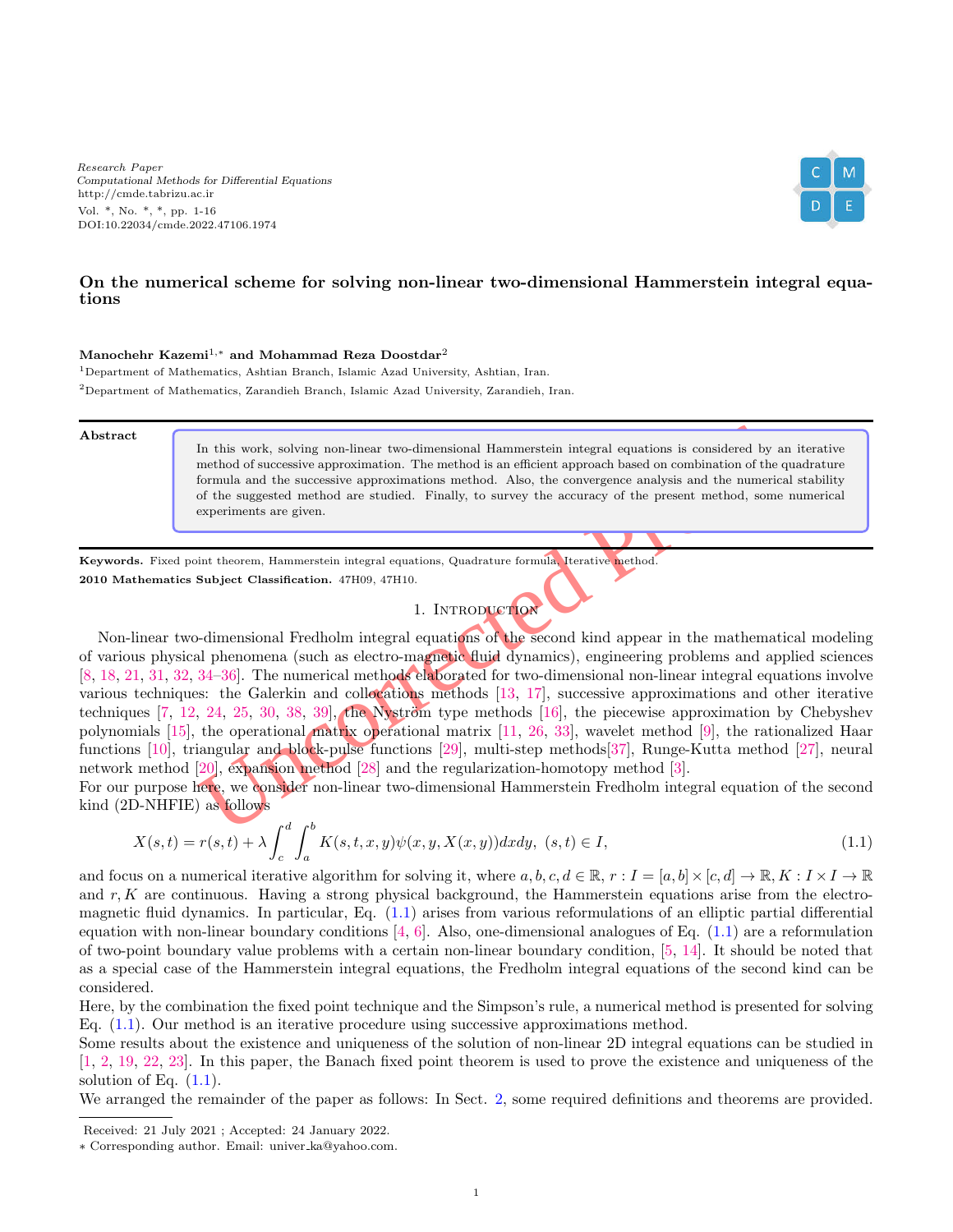*Research Paper Computational Methods for Differential Equations* http://cmde.tabrizu.ac.ir Vol. \*, No. \*, \*, pp. 1-16 DOI:10.22034/cmde.2022.47106.1974



# **On the numerical scheme for solving non-linear two-dimensional Hammerstein integral equations**

### **Manochehr Kazemi** 1 *, ∗* **and Mohammad Reza Doostdar** 2

<sup>1</sup>Department of Mathematics, Ashtian Branch, Islamic Azad University, Ashtian, Iran. <sup>2</sup>Department of Mathematics, Zarandieh Branch, Islamic Azad University, Zarandieh, Iran.

#### **Abstract**

.

In this work, solving non-linear two-dimensional Hammerstein integral equations is considered by an iterative method of successive approximation. The method is an efficient approach based on combination of the quadrature formula and the successive approximations method. Also, the convergence analysis and the numerical stability of the suggested method are studied. Finally, to survey the accuracy of the present method, some numerical experiments are given.

**Keywords.** Fixed point theorem, Hammerstein integral equations, Quadrature formula, Iterative method. **2010 Mathematics Subject Classification.** 47H09, 47H10.

<span id="page-0-0"></span>

In this work, solving non-linear two-dimensional Hammerstein integral equations is considered by a<br>method of successive approximation. The method is an efficient approach based on combination of the of<br>of the suggested me Non-linear two-dimensional Fredholm integral equations of the second kind appear in the mathematical modeling of various physical phenomena (such as electro-magnetic fluid dynamics), engineering problems and applied sciences [[8,](#page-14-0) [18](#page-14-1), [21](#page-14-2), [31,](#page-14-3) [32](#page-14-4), 34–36]. The numerical methods elaborated for two-dimensional non-linear integral equations involve various techniques: the Galerkin and collocations methods [13, 17], successive approximations and other iterative techniques  $[7, 12, 24, 25, 30, 38, 39]$  $[7, 12, 24, 25, 30, 38, 39]$  $[7, 12, 24, 25, 30, 38, 39]$  $[7, 12, 24, 25, 30, 38, 39]$  $[7, 12, 24, 25, 30, 38, 39]$ , the Nyström type methods  $[16]$ , the piecewise approximation by Chebyshev polynomials [[15\]](#page-14-13), the operational matrix operational matrix [11 , 26 , 33], wavelet method [ 9], the rationalized Haar functions [[10](#page-14-18)], triangular and block-pulse functions [29], multi-step methods[37], Runge-Kutta method [[27\]](#page-14-20), neural network method [20], expansion method [28] and the regularization-homotopy method [ 3].

For our purpose here, we consider non-linear two-dimensional Hammerstein Fredholm integral equation of the second kind (2D-NHFIE) as follows

$$
X(s,t) = r(s,t) + \lambda \int_c^d \int_a^b K(s,t,x,y)\psi(x,y,X(x,y))dxdy, \ (s,t) \in I,
$$
\n(1.1)

and focus on a numerical iterative algorithm for solving it, where  $a, b, c, d \in \mathbb{R}$ ,  $r : I = [a, b] \times [c, d] \to \mathbb{R}$ ,  $K : I \times I \to \mathbb{R}$ and *r, K* are continuous. Having a strong physical background, the Hammerstein equations arise from the electromagnetic fluid dynamics. In particular, Eq. [\(1.1](#page-0-0)) arises from various reformulations of an elliptic partial differential equation with non-linear boundary conditions  $[4, 6]$  $[4, 6]$  $[4, 6]$  $[4, 6]$  $[4, 6]$ . Also, one-dimensional analogues of Eq.  $(1.1)$  $(1.1)$  are a reformulation of two-point boundary value problems with a certain non-linear boundary condition, [ [5](#page-13-4) , [14](#page-14-23)]. It should be noted that as a special case of the Hammerstein integral equations, the Fredholm integral equations of the second kind can be considered.

Here, by the combination the fixed point technique and the Simpson's rule, a numerical method is presented for solving Eq. ([1.1\)](#page-0-0). Our method is an iterative procedure using successive approximations method.

Some results about the existence and uniqueness of the solution of non-linear 2D integral equations can be studied in [[1,](#page-13-5) [2,](#page-13-6) [19](#page-14-24), [22](#page-14-25), [23](#page-14-26)]. In this paper, the Banach fixed point theorem is used to prove the existence and uniqueness of the solution of Eq.  $(1.1)$  $(1.1)$ .

We arranged the remainder of the paper as follows: In Sect. [2](#page-1-0), some required definitions and theorems are provided.

Received: 21 July 2021 ; Accepted: 24 January 2022.

*<sup>∗</sup>* Corresponding author. Email: univer ka@yahoo.com.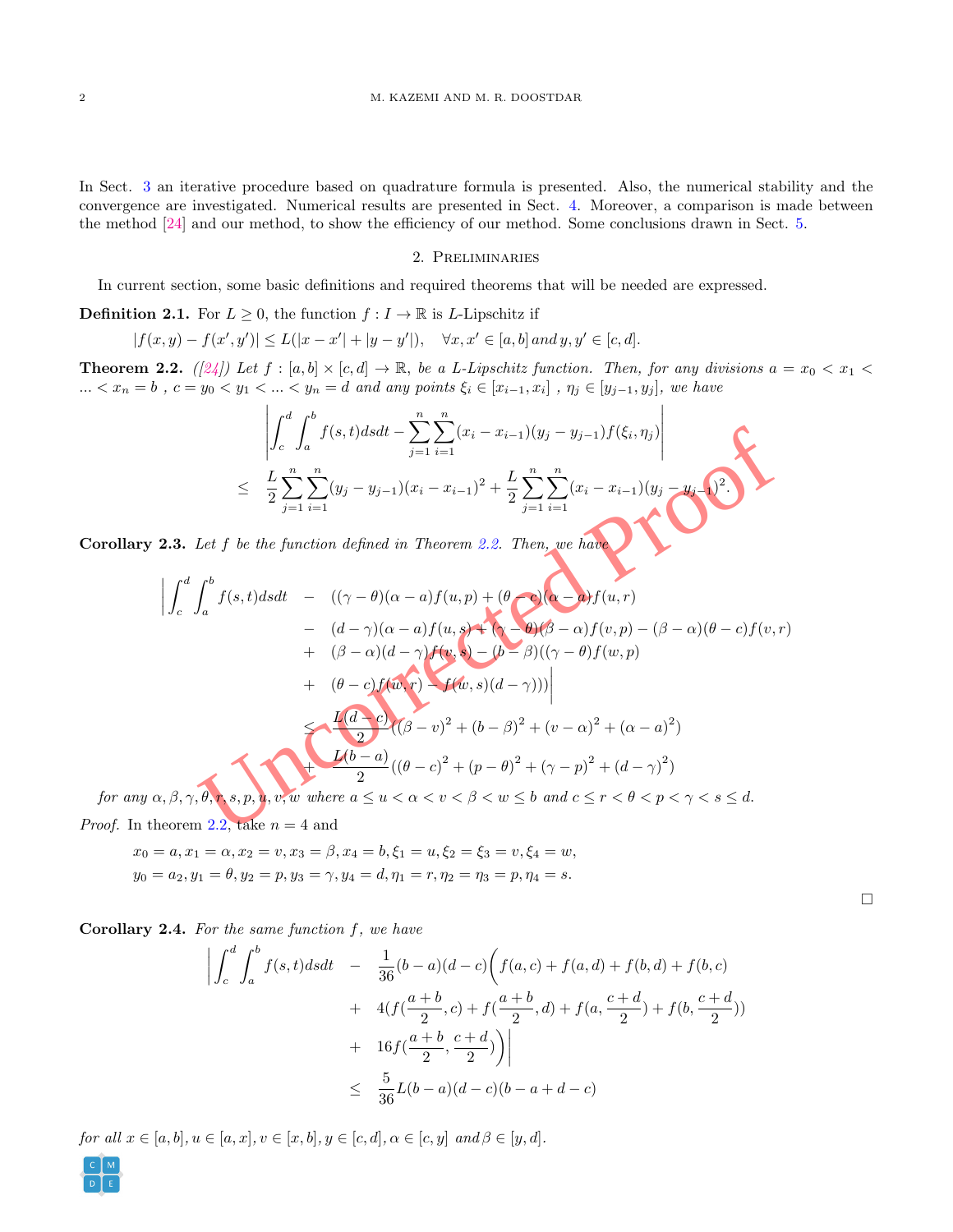In Sect. [3](#page-3-0) an iterative procedure based on quadrature formula is presented. Also, the numerical stability and the convergence are investigated. Numerical results are presented in Sect. [4.](#page-10-0) Moreover, a comparison is made between the method [\[24](#page-14-9)] and our method, to show the efficiency of our method. Some conclusions drawn in Sect. [5](#page-13-7).

## 2. Preliminaries

<span id="page-1-0"></span>In current section, some basic definitions and required theorems that will be needed are expressed.

**Definition 2.1.** For  $L \geq 0$ , the function  $f: I \to \mathbb{R}$  is *L*-Lipschitz if

$$
|f(x,y) - f(x',y')| \le L(|x - x'| + |y - y'|), \quad \forall x, x' \in [a, b] \text{ and } y, y' \in [c, d].
$$

<span id="page-1-1"></span>**Theorem 2.2.** ([\[24\]](#page-14-9)) Let  $f : [a, b] \times [c, d] \rightarrow \mathbb{R}$ , be a L-Lipschitz function. Then, for any divisions  $a = x_0 < x_1 <$ ...  $\langle x_n = b, c = y_0 \langle y_1 \langle ... \langle y_n = d \text{ and any points } \xi_i \in [x_{i-1}, x_i], \eta_j \in [y_{j-1}, y_j], \text{ we have}$ 

$$
\left| \int_{c}^{d} \int_{a}^{b} f(s,t) ds dt - \sum_{j=1}^{n} \sum_{i=1}^{n} (x_{i} - x_{i-1})(y_{j} - y_{j-1}) f(\xi_{i}, \eta_{j}) \right|
$$
  
\n
$$
\leq \frac{L}{2} \sum_{j=1}^{n} \sum_{i=1}^{n} (y_{j} - y_{j-1})(x_{i} - x_{i-1})^{2} + \frac{L}{2} \sum_{j=1}^{n} \sum_{i=1}^{n} (x_{i} - x_{i-1})(y_{j} - y_{j-1})^{2}
$$

<span id="page-1-2"></span>**Corollary 2.3.** *Let f be the function defined in Theorem 2.2. Then, we have*

$$
\left| \int_{c} \int_{a} f(s,t) ds dt - \sum_{j=1} \sum_{i=1} (x_{i} - x_{i-1})(y_{j} - y_{j-1}) f(\xi_{i}, \eta_{j}) \right|
$$
\n
$$
\leq \frac{L}{2} \sum_{j=1}^{n} \sum_{i=1}^{n} (y_{j} - y_{j-1})(x_{i} - x_{i-1})^{2} + \frac{L}{2} \sum_{j=1}^{n} \sum_{i=1}^{n} (x_{i} - x_{i-1})(y_{j} - y_{j-1})^{2}
$$
\n2.3. Let f be the function defined in Theorem 2.2. Then, we have  
\n
$$
\left| \int_{c}^{d} \int_{a}^{b} f(s,t) ds dt - ((\gamma - \theta)(\alpha - a) f(u, p) + (\theta - a) \alpha - a) f(u, r) + (\beta - \alpha)(\alpha - a) f(u, r) + (\beta - \alpha)(\alpha - a) f(u, s) + (\beta - \alpha)(\beta - a) f(v, p) - (\beta - \alpha)(\beta - c) f(v, r) + (\beta - \alpha)(\alpha - a) f(v, s) - (\beta - \beta)((\gamma - \theta) f(w, p)) + (\beta - \alpha)(\alpha - a) f(w, s) + (\alpha - a) f(w, s) + (\alpha - a) f(w, s) + (\alpha - a) f(w, s) + (\alpha - a) f(w, s) + (\alpha - a) f(w, s) + (\alpha - a) f(w, s) + (\alpha - a) f(w, s) + (\alpha - a) f(w, s) + (\alpha - a) f(w, s) + (\alpha - a) f(w, s) + (\alpha - a) f(w, s) + (\alpha - a) f(w, s) + (\alpha - a) f(w, s) + (\alpha - a) f(w, s) + (\alpha - a) f(w, s) + (\alpha - a) f(w, s) + (\alpha - a) f(w, s) + (\alpha - a) f(w, s) + (\alpha - a) f(w, s) + (\alpha - a) f(w, s) + (\alpha - a) f(w, s) + (\alpha - a) f(w, s) + (\alpha - a) f(w, s) + (\alpha - a) f(w, s) + (\alpha - a) f(w, s) + (\alpha - a) f(w, s) + (\alpha - a) f(w, s) + (\alpha - a) f(w, s) + (\alpha - a) f(w, s) + (\alpha - a) f(w, s) + (\alpha - a) f(w, s) + (\alpha - a) f(w, s) + (\alpha - a)
$$

*for any*  $\alpha, \beta, \gamma, \theta, r, s, p, u, v, w$  where  $a \leq u < \alpha < v < \beta < w \leq b$  and  $c \leq r < \theta < p < \gamma < s \leq d$ . *Proof.* In theorem 2.2, take  $n = 4$  and

$$
x_0 = a, x_1 = \alpha, x_2 = v, x_3 = \beta, x_4 = b, \xi_1 = u, \xi_2 = \xi_3 = v, \xi_4 = w,
$$
  

$$
y_0 = a_2, y_1 = \theta, y_2 = p, y_3 = \gamma, y_4 = d, \eta_1 = r, \eta_2 = \eta_3 = p, \eta_4 = s.
$$

 $\Box$ 

<span id="page-1-3"></span>**Corollary 2.4.** *For the same function f, we have*

$$
\left| \int_{c}^{d} \int_{a}^{b} f(s,t) ds dt \right| = \frac{1}{36} (b-a)(d-c) \left( f(a,c) + f(a,d) + f(b,d) + f(b,c) + 4(f(\frac{a+b}{2},c) + f(\frac{a+b}{2},d) + f(a,\frac{c+d}{2}) + f(b,\frac{c+d}{2})) + 16f(\frac{a+b}{2},\frac{c+d}{2}) \right) \right|
$$
  

$$
\leq \frac{5}{36} L(b-a)(d-c)(b-a+d-c)
$$

for all  $x \in [a, b]$ ,  $u \in [a, x]$ ,  $v \in [x, b]$ ,  $y \in [c, d]$ ,  $\alpha \in [c, y]$  and  $\beta \in [y, d]$ .

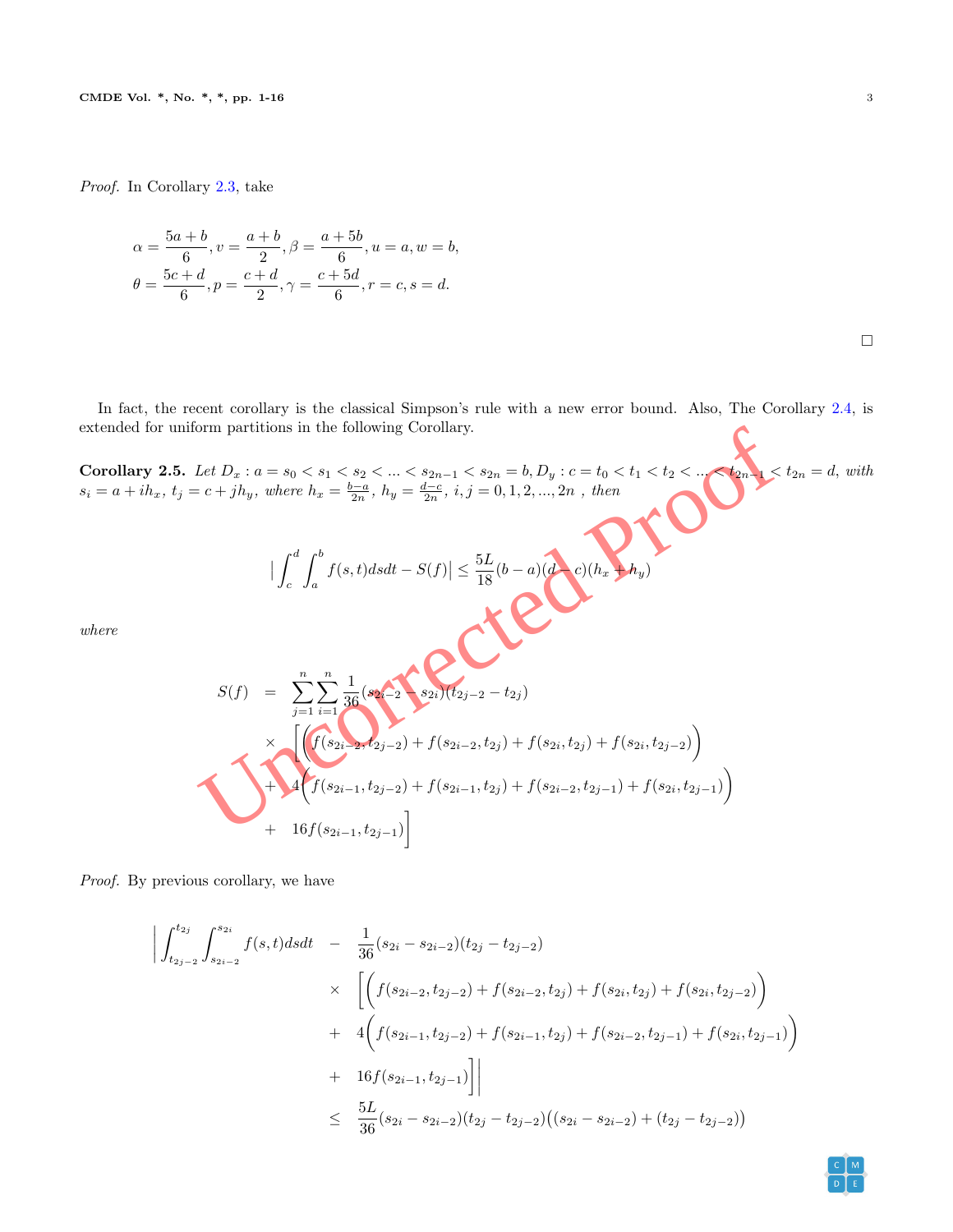*Proof.* In Corollary [2.3](#page-1-2), take

$$
\alpha = \frac{5a+b}{6}, v = \frac{a+b}{2}, \beta = \frac{a+5b}{6}, u = a, w = b,
$$
  

$$
\theta = \frac{5c+d}{6}, p = \frac{c+d}{2}, \gamma = \frac{c+5d}{6}, r = c, s = d.
$$

In fact, the recent corollary is the classical Simpson's rule with a new error bound. Also, The Corollary [2.4](#page-1-3), is extended for uniform partitions in the following Corollary.

**Corollary 2.5.** Let  $D_x: a = s_0 < s_1 < s_2 < ... < s_{2n-1} < s_{2n} = b$ ,  $D_y: c = t_0 < t_1 < t_2 < ... < t_{2n-1} < t_{2n} = d$ , with  $s_i = a + ih_x, t_j = c + jh_y$ , where  $h_x = \frac{b-a}{2n}$ ,  $h_y = \frac{d-c}{2n}$ ,  $i, j = 0, 1, 2, ..., 2n$ , then

<span id="page-2-0"></span>
$$
\left| \int_{c}^{d} \int_{a}^{b} f(s, t) ds dt - S(f) \right| \leq \frac{5L}{18} (b - a) (d - c) (h_x + h_y)
$$
  

$$
= \sum_{i=1}^{n} \sum_{j=1}^{n} \frac{1}{36} (s_{2i} - 2 \cdot s_{2i}) (t_{2j-2} - t_{2j})
$$

*where*

From partitions in the following Corollary.

\nLet 
$$
D_x : a = s_0 < s_1 < s_2 < \ldots < s_{2n-1} < s_{2n} = b, D_y : c = t_0 < t_1 < t_2 < \ldots < s_{2n-1} < s_{2n} = b, D_y : c = t_0 < t_1 < t_2 < \ldots < s_{2n} < t_1 < t_2 < \ldots < s_{2n} < t_1 < t_2 < \ldots < s_{2n} < t_2 < \ldots < s_{2n} < t_2 < \ldots < s_{2n} < t_2 < t_2 < \ldots < s_{2n} < t_2 < t_2 < \ldots < s_{2n} < t_2 < \ldots < s_{2n} < t_2 < \ldots < s_{2n} < t_2 < \ldots < s_{2n} < t_2 < \ldots < s_{2n} < t_2 < \ldots < s_{2n} < t_2 < \ldots < s_{2n} < t_2 < \ldots < s_{2n} < t_2 < \ldots < s_{2n} < t_2 < \ldots < s_{2n} < t_2 < \ldots < s_{2n} < t_2 < \ldots < s_{2n} < t_2 < \ldots < s_{2n} < t_2 < \ldots < s_{2n} < t_2 < \ldots < s_{2n} < t_2 < \ldots < s_{2n} < t_2 < \ldots < s_{2n} < t_2 < \ldots < s_{2n} < t_2 < \ldots < s_{2n} < t_2 < \ldots < s_{2n} < t_2 < \ldots < s_{2n} < t_2 < \ldots < s_{2n} < t_2 < \ldots < s_{2n} < t_2 < \ldots < s_{2n} < t_2 < \ldots <
$$

*Proof.* By previous corollary, we have

$$
\left| \int_{t_{2j-2}}^{t_{2j}} \int_{s_{2i-2}}^{s_{2i}} f(s,t) ds dt \right| - \frac{1}{36} (s_{2i} - s_{2i-2})(t_{2j} - t_{2j-2})
$$
\n
$$
\times \left[ \left( f(s_{2i-2}, t_{2j-2}) + f(s_{2i-2}, t_{2j}) + f(s_{2i}, t_{2j}) + f(s_{2i}, t_{2j-2}) \right) + 4 \left( f(s_{2i-1}, t_{2j-2}) + f(s_{2i-1}, t_{2j}) + f(s_{2i-2}, t_{2j-1}) + f(s_{2i}, t_{2j-1}) \right) \right]
$$
\n
$$
+ 16 f(s_{2i-1}, t_{2j-1}) \right] \Big|
$$
\n
$$
\leq \frac{5L}{36} (s_{2i} - s_{2i-2})(t_{2j} - t_{2j-2}) \left( (s_{2i} - s_{2i-2}) + (t_{2j} - t_{2j-2}) \right)
$$

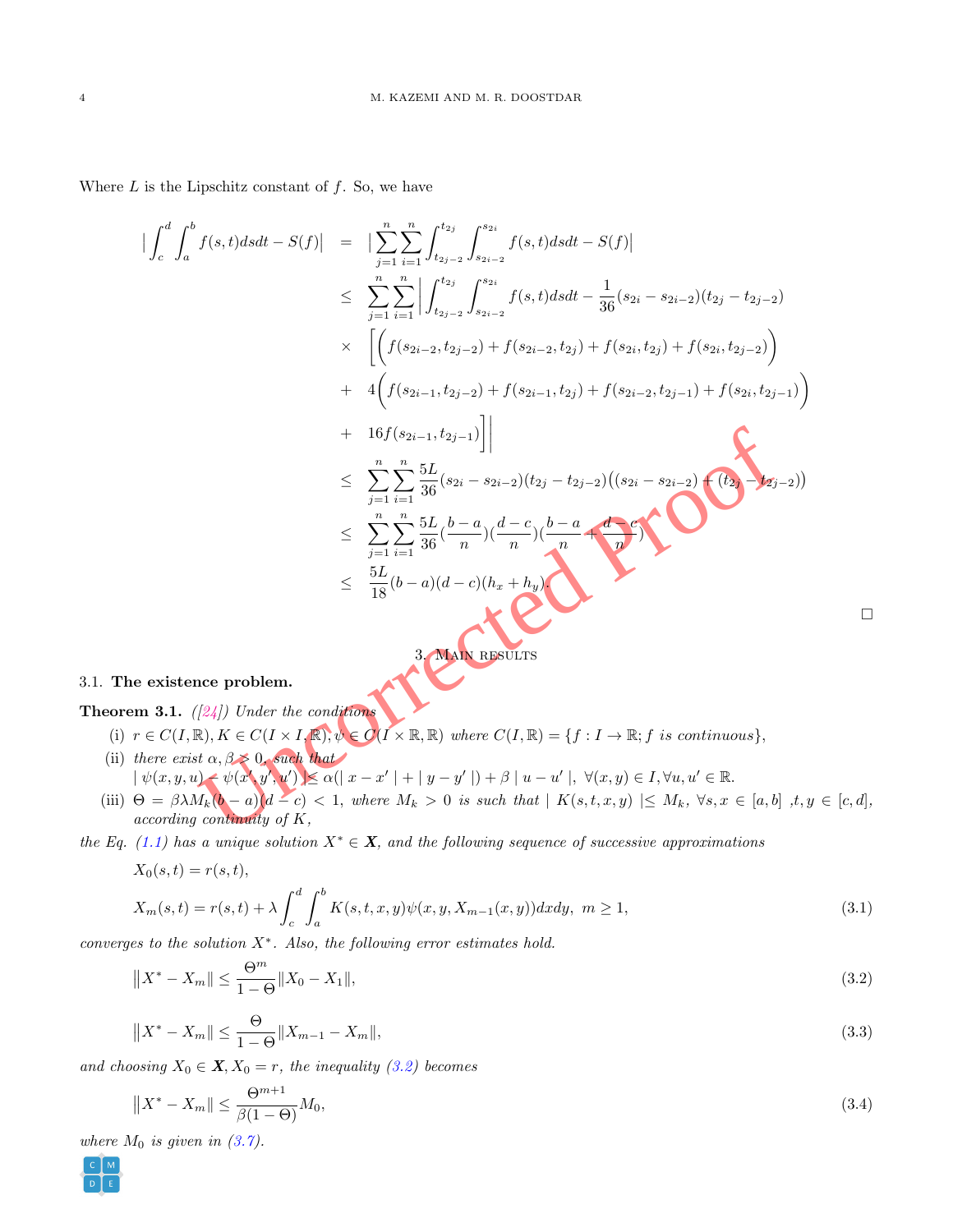Where  $L$  is the Lipschitz constant of  $f$ . So, we have

$$
\begin{split}\n|\int_{c}^{d} \int_{a}^{b} f(s,t) ds dt - S(f)| &= \left| \sum_{j=1}^{n} \sum_{i=1}^{n} \int_{t_{2j-2}}^{t_{2j}} \int_{s_{2i-2}}^{s_{2i}} f(s,t) ds dt - S(f) \right| \\
&\leq \sum_{j=1}^{n} \sum_{i=1}^{n} \left| \int_{t_{2j-2}}^{t_{2j}} \int_{s_{2i-2}}^{s_{2i}} f(s,t) ds dt - \frac{1}{36} (s_{2i} - s_{2i-2}) (t_{2j} - t_{2j-2}) \right| \\
&\quad \times \left[ \left( f(s_{2i-2}, t_{2j-2}) + f(s_{2i-2}, t_{2j}) + f(s_{2i}, t_{2j}) + f(s_{2i}, t_{2j-2}) \right) \right. \\
&\quad \left. + 4 \left( f(s_{2i-1}, t_{2j-2}) + f(s_{2i-1}, t_{2j}) + f(s_{2i-2}, t_{2j-1}) + f(s_{2i}, t_{2j-1}) \right) \right. \\
&\leq \sum_{j=1}^{n} \sum_{i=1}^{n} \frac{5L}{36} (s_{2i} - s_{2i-2}) (t_{2j} - t_{2j-2}) ((s_{2i} - s_{2i-2}) \left( \frac{t_{2i}}{2}) - 2 \right) \right) \\
&\leq \sum_{j=1}^{n} \sum_{i=1}^{n} \frac{5L}{36} (s_{2i} - s_{2i-2}) (t_{2j} - t_{2j-2}) (s_{2i} - s_{2i-2}) \left( \frac{t_{2i}}{2}) - 2 \right) \\
&\leq \sum_{j=1}^{n} \sum_{i=1}^{n} \frac{5L}{36} (b-a) (d-c) (h_x + h_y) \left( \frac{1}{n} \sum_{j=1}^{n} \sum_{j=1}^{n} \left( \frac{t_{2i}}{2}) \right) \right) \\
&\leq \sum_{j=1}^{n} \sum_{i=1}^{n} \frac{5L}{36} (b-a) (d-c) (h_x + h_y) \left( \frac{1}{n} \sum_{j=1}^{n} \sum_{j=1}^{n} \left( \frac{t_{2j}}{2}) \right) \right) \\
&\leq \
$$

<span id="page-3-5"></span><span id="page-3-3"></span><span id="page-3-1"></span> $\Box$ 

# <span id="page-3-0"></span>3.1. **The existence problem.**

<span id="page-3-2"></span>**Theorem 3.1.** *([24]) Under the conditions*

- (i)  $r \in C(I, \mathbb{R}), K \in C(I \times I, \mathbb{R}), \psi \in C(I \times \mathbb{R}, \mathbb{R})$  where  $C(I, \mathbb{R}) = \{f : I \to \mathbb{R}; f \text{ is continuous}\},\$
- (ii) *there exist*  $\alpha, \beta \geq 0$ , such that  $| \psi(x, y, u) - \psi(x', y', u') | \le \alpha (|x - x'| + |y - y'|) + \beta |u - u'|, \; \forall (x, y) \in I, \forall u, u' \in \mathbb{R}.$
- (iii)  $\Theta = \beta \lambda M_k(b-a)(d-c) < 1$ , where  $M_k > 0$  is such that  $|K(s,t,x,y)| \leq M_k$ ,  $\forall s, x \in [a,b]$ ,  $t, y \in [c,d]$ , *according continuity of K ,*

*the Eq.* [\(1.1\)](#page-0-0) has a unique solution  $X^* \in \mathbf{X}$ , and the following sequence of successive approximations

$$
X_0(s,t) = r(s,t),
$$
  
\n
$$
X_m(s,t) = r(s,t) + \lambda \int_c^d \int_a^b K(s,t,x,y) \psi(x,y,X_{m-1}(x,y)) dx dy, \ m \ge 1,
$$
\n(3.1)

*converges to the solution*  $X^*$ *. Also, the following error estimates hold.* 

$$
||X^* - X_m|| \le \frac{\Theta^m}{1 - \Theta} ||X_0 - X_1||, \tag{3.2}
$$

<span id="page-3-4"></span>
$$
||X^* - X_m|| \le \frac{\Theta}{1 - \Theta} ||X_{m-1} - X_m||, \tag{3.3}
$$

*and choosing*  $X_0 \in \mathbf{X}, X_0 = r$ *, the inequality* [\(3.2\)](#page-3-1) *becomes* 

$$
||X^* - X_m|| \le \frac{\Theta^{m+1}}{\beta(1-\Theta)} M_0,
$$
\n(3.4)

*where*  $M_0$  *is given in ([3.7\)](#page-4-0).* 

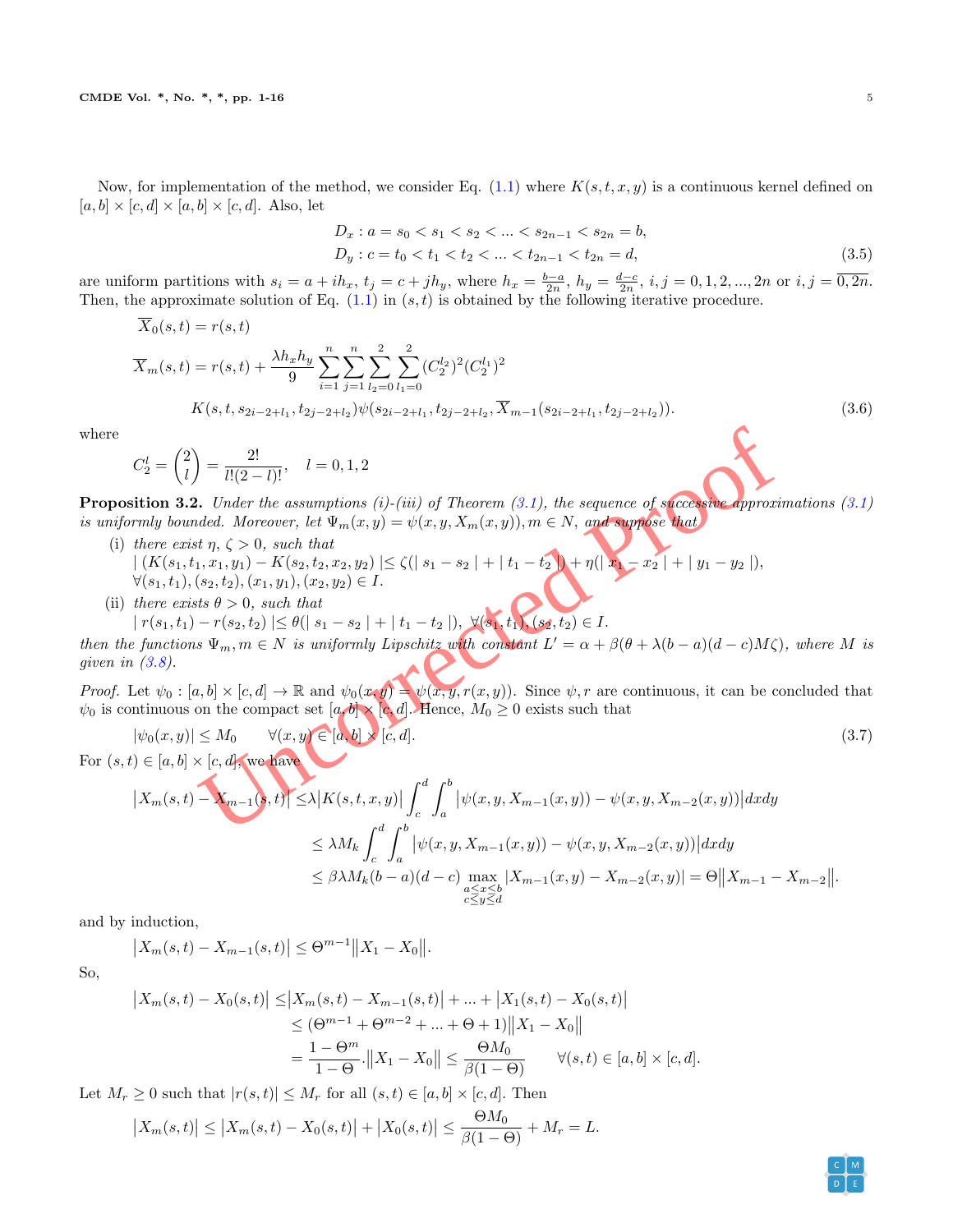Now, for implementation of the method, we consider Eq.  $(1.1)$  $(1.1)$  where  $K(s,t,x,y)$  is a continuous kernel defined on  $[a, b] \times [c, d] \times [a, b] \times [c, d]$ . Also, let

<span id="page-4-1"></span>
$$
D_x: a = s_0 < s_1 < s_2 < \dots < s_{2n-1} < s_{2n} = b,
$$
\n
$$
D_y: c = t_0 < t_1 < t_2 < \dots < t_{2n-1} < t_{2n} = d,
$$
\n
$$
(3.5)
$$

are uniform partitions with  $s_i = a + ih_x$ ,  $t_j = c + jh_y$ , where  $h_x = \frac{b-a}{2n}$ ,  $h_y = \frac{d-c}{2n}$ ,  $i, j = 0, 1, 2, ..., 2n$  or  $i, j = \overline{0, 2n}$ . Then, the approximate solution of Eq.  $(1.1)$  $(1.1)$  $(1.1)$  in  $(s,t)$  is obtained by the following iterative procedure.

$$
\overline{X}_0(s,t) = r(s,t)
$$
\n
$$
\overline{X}_m(s,t) = r(s,t) + \frac{\lambda h_x h_y}{9} \sum_{i=1}^n \sum_{j=1}^n \sum_{l_2=0}^2 \sum_{l_1=0}^2 (C_2^{l_2})^2 (C_2^{l_1})^2
$$
\n
$$
K(s,t,s_{2i-2+l_1},t_{2j-2+l_2}) \psi(s_{2i-2+l_1},t_{2j-2+l_2},\overline{X}_{m-1}(s_{2i-2+l_1},t_{2j-2+l_2})).
$$
\n(3.6)

where

$$
C_2^l = \binom{2}{l} = \frac{2!}{l!(2-l)!}, \quad l = 0, 1, 2
$$

<span id="page-4-3"></span>**Proposition 3.2.** *Under the assumptions (i)-(iii) of Theorem (3.1), the sequence of successive approximations ([3.1](#page-3-3) ) is uniformly bounded. Moreover, let*  $\Psi_m(x, y) = \psi(x, y, X_m(x, y)), m \in N$ , and suppose that

- (i) *there exist*  $\eta$ ,  $\zeta > 0$ *, such that*  $\mid (K(s_{1},t_{1},x_{1},y_{1})-K(s_{2},t_{2},x_{2},y_{2})\mid \leq \zeta(\mid s_{1}-s_{2}\mid + \mid t_{1}-t_{2}\mid) + \eta(\mid x_{1}-x_{2}\mid + \mid y_{1}-y_{2}\mid),$  $\forall (s_1, t_1), (s_2, t_2), (x_1, y_1), (x_2, y_2) \in I.$
- (ii) *there exists*  $\theta > 0$ *, such that* 0*, such that*  $|r(s_1,t_1)-r(s_2,t_2)| \leq \theta (|s_1-s_2|+|t_1-t_2|), \; \forall (s_1,t_1),(s_2,t_2) \in I.$

then the functions  $\Psi_m, m \in N$  is uniformly Lipschitz with constant  $L' = \alpha + \beta(\theta + \lambda(b - a)(d - c)M\zeta)$ , where M is *given in [\(3.8](#page-5-0)).*

*Proof.* Let  $\psi_0 : [a, b] \times [c, d] \to \mathbb{R}$  and  $\psi_0(x, y) = \psi(x, y, r(x, y))$ . Since  $\psi, r$  are continuous, it can be concluded that  $\psi_0$  is continuous on the compact set  $[a, b] \times [c, d]$ . Hence,  $M_0 \geq 0$  exists such that

$$
|\psi_0(x, y)| \le M_0 \qquad \forall (x, y) \in [a, b] \times [c, d].
$$
  
For  $(s, t) \in [a, b] \times [c, d]$ , we have

$$
C_2^l = \begin{pmatrix} 2 \\ l \end{pmatrix} = \frac{2!}{l!(2-l)!}, \quad l = 0, 1, 2
$$
\nposition 3.2. Under the assumptions (i)-(iii) of Theorem (3.1), the sequence of successive approximations

\nformly bounded. Moreover, let  $\Psi_m(x, y) = \psi(x, y, X_m(x, y)), m \in N$ , and suppose that

\n| (K(s<sub>1</sub>, t<sub>1</sub>, t<sub>1</sub>, y<sub>1</sub>) - K(s<sub>2</sub>, t<sub>2</sub>, x<sub>2</sub>, y<sub>2</sub>) |  $\leq$  (|  $s_1 - s_2 | + |t_1 - t_2 | + \eta$ )|  $\mathbf{x} - x_2 | + |y_1 - y_2 |$ ),

\nwhere exist  $\theta > 0$ , such that

\n| (K(s<sub>1</sub>, t<sub>1</sub>, t<sub>1</sub>, y<sub>1</sub>) - K(s<sub>2</sub>, t<sub>2</sub>, x<sub>2</sub>, y<sub>2</sub>) |  $\leq$  (|  $s_1 - s_2 | + |t_1 - t_2 |$ ),  $\forall$ (s<sub>1</sub>, t<sub>1</sub>) - T(s<sub>2</sub>, t<sub>2</sub>) |  $\leq \theta$  (|  $s_1 - s_2 | + |t_1 - t_2 |$ ),  $\forall$ (s<sub>1</sub>, t<sub>1</sub>) - T(s<sub>2</sub>, t<sub>2</sub>) |  $\leq$   $\theta$  (|  $s_1 - s_2 | + |t_1 - t_2 |$ ),  $\forall$ (s<sub>1</sub>, t<sub>1</sub>) - T(s<sub>2</sub>, t<sub>2</sub>) |  $\leq$   $\theta$  (|  $s_1 - s_2 | + |t_1 - t_2 |$ ),  $\forall$ (s<sub>1</sub>, t<sub>1</sub>) - T(s<sub>2</sub>, t<sub>2</sub>) |  $\leq$   $\theta$  (|  $s_1 - s_2 | + |t_1 - t_2 |$ ),  $\forall$ (s<sub>1</sub>, t<sub>1</sub>) - T(s<sub>2</sub>, t<sub>2</sub>

and by induction,

$$
|X_m(s,t) - X_{m-1}(s,t)| \le \Theta^{m-1} ||X_1 - X_0||.
$$

So,

$$
\begin{aligned} \left| X_m(s,t) - X_0(s,t) \right| &\leq & \left| X_m(s,t) - X_{m-1}(s,t) \right| + \dots + \left| X_1(s,t) - X_0(s,t) \right| \\ &\leq (\Theta^{m-1} + \Theta^{m-2} + \dots + \Theta + 1) \left\| X_1 - X_0 \right\| \\ &= \frac{1 - \Theta^m}{1 - \Theta} \cdot \left\| X_1 - X_0 \right\| \leq \frac{\Theta M_0}{\beta(1 - \Theta)} \qquad \forall (s,t) \in [a,b] \times [c,d]. \end{aligned}
$$

Let  $M_r \geq 0$  such that  $|r(s,t)| \leq M_r$  for all  $(s,t) \in [a,b] \times [c,d]$ . Then

$$
|X_m(s,t)| \le |X_m(s,t) - X_0(s,t)| + |X_0(s,t)| \le \frac{\Theta M_0}{\beta(1-\Theta)} + M_r = L.
$$



<span id="page-4-2"></span><span id="page-4-0"></span>*.*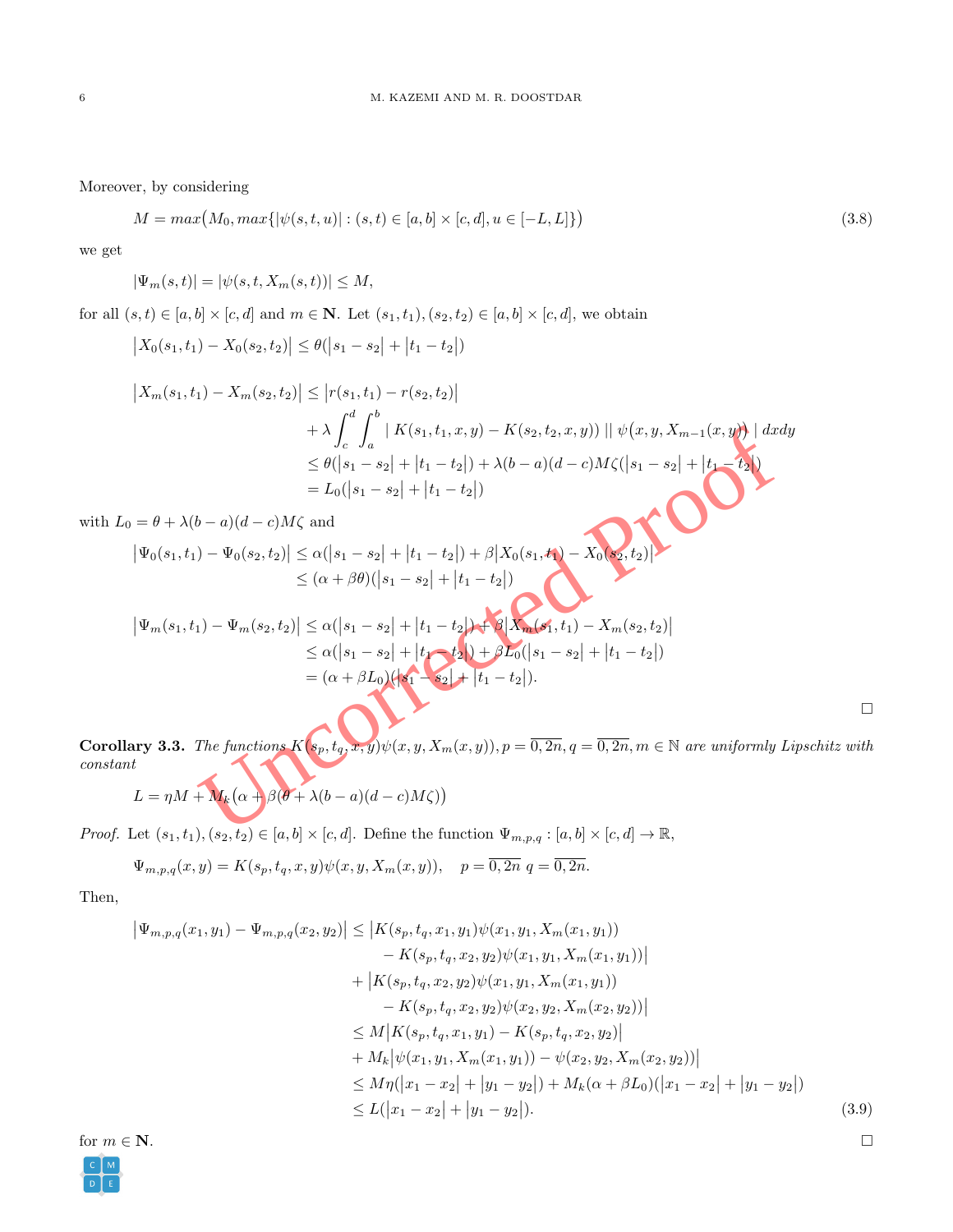Moreover, by considering

$$
M = max(M_0, max\{|\psi(s, t, u)| : (s, t) \in [a, b] \times [c, d], u \in [-L, L]\})
$$
\n(3.8)

we get

 $|\Psi_m(s,t)| = |\psi(s,t,X_m(s,t))| \leq M,$ 

for all  $(s,t) \in [a,b] \times [c,d]$  and  $m \in \mathbb{N}$ . Let  $(s_1,t_1), (s_2,t_2) \in [a,b] \times [c,d]$ , we obtain

 $|X_0(s_1, t_1) - X_0(s_2, t_2)| \leq \theta(|s_1 - s_2| + |t_1 - t_2|)$ 

$$
\begin{split}\n|X_{m}(s_{1},t_{1}) - X_{m}(s_{2},t_{2})| &\leq |r(s_{1},t_{1}) - r(s_{2},t_{2})| \\
&+ \lambda \int_{c}^{d} \int_{a}^{b} |K(s_{1},t_{1},x,y) - K(s_{2},t_{2},x,y)| \, ||\, \psi(x,y,X_{m-1}(x,y))| \, dxdy \\
&\leq \theta(|s_{1}-s_{2}| + |t_{1}-t_{2}|) + \lambda(b-a)(d-c)M\zeta(|s_{1}-s_{2}| + |t_{1}-t_{2}|) \\
&= L_{0}(|s_{1}-s_{2}| + |t_{1}-t_{2}|) \\
&= \theta + \lambda(b-a)(d-c)M\zeta \text{ and} \\
|\Psi_{0}(s_{1},t_{1}) - \Psi_{0}(s_{2},t_{2})| &\leq \alpha(|s_{1}-s_{2}| + |t_{1}-t_{2}|) + \beta|X_{0}(s_{1},t_{1}) - X_{0}(s_{2},t_{2})| \\
&\leq (\alpha + \beta\theta)(|s_{1}-s_{2}| + |t_{1}-t_{2}|) + \beta|X_{m}(s_{1},t_{1}) - X_{m}(s_{2},t_{2})| \\
&\leq \alpha(|s_{1}-s_{2}| + |t_{1}-t_{2}|) + \beta|X_{0}(|s_{1}-s_{2}| + |t_{1}-t_{2}|) \\
&= (\alpha + \beta L_{0})(|s_{1}-s_{2}| + |t_{1}-t_{2}|).\n\end{split}
$$
\n
$$
\text{any 3.3. The functions } K(s_{p},t_{q},x,y)\psi(x,y,X_{m}(x,y)), p = \overline{0,2n}, q = \overline{0,2n}, m \in \mathbb{N} \text{ are uniformly } Lip
$$
\n
$$
L = \eta M + N_{k}(\alpha + \beta(\theta + \lambda(b-a)(d-c)M\zeta))
$$
\nLet  $(s_{1},t_{1})$   $(s_{1},t_{2})$   $(s_{1},t_{1})$   $(s_{1},t_{2})$   $(s_{1},t_{2})$   $(s_{1},t_{2})$   $(s_{1},t_{2})$   $(s_{1},t_{2})$   $(s_{1},t_{2})$   $(s_{1},t_{2})$   $(s_{1},t_{2})$ 

with  $L_0 = \theta + \lambda(b-a)(d-c)M\zeta$  and

$$
|\Psi_0(s_1, t_1) - \Psi_0(s_2, t_2)| \leq \alpha(|s_1 - s_2| + |t_1 - t_2|) + \beta |X_0(s_1, t_1) - X_0(s_2, t_2)|
$$
  

$$
\leq (\alpha + \beta \theta)(|s_1 - s_2| + |t_1 - t_2|)
$$

$$
\left| \Psi_m(s_1, t_1) - \Psi_m(s_2, t_2) \right| \leq \alpha (|s_1 - s_2| + |t_1 - t_2|) + \beta |X_m(s_1, t_1) - X_m(s_2, t_2)|
$$
  
\n
$$
\leq \alpha (|s_1 - s_2| + |t_1 - t_2|) + \beta L_0(|s_1 - s_2| + |t_1 - t_2|)
$$
  
\n
$$
= (\alpha + \beta L_0)(|s_1 - s_2| + |t_1 - t_2|).
$$

<span id="page-5-1"></span><span id="page-5-0"></span>

<span id="page-5-2"></span>**Corollary 3.3.** The functions  $K(s_p, t_q, x, y)\psi(x, y, X_m(x, y)), p = \overline{0, 2n}, q = \overline{0, 2n}, m \in \mathbb{N}$  are uniformly Lipschitz with *constant*

$$
L = \eta M + M_k(\alpha + \beta(\theta + \lambda(b - a)(d - c)M\zeta))
$$

*Proof.* Let  $(s_1, t_1), (s_2, t_2) \in [a, b] \times [c, d]$ . Define the function  $\Psi_{m,p,q} : [a, b] \times [c, d] \to \mathbb{R}$ ,

$$
\Psi_{m,p,q}(x,y) = K(s_p, t_q, x, y)\psi(x, y, X_m(x,y)), \quad p = \overline{0,2n} \ q = \overline{0,2n}.
$$

Then,

$$
\left| \Psi_{m,p,q}(x_1, y_1) - \Psi_{m,p,q}(x_2, y_2) \right| \leq \left| K(s_p, t_q, x_1, y_1) \psi(x_1, y_1, X_m(x_1, y_1)) \right| - K(s_p, t_q, x_2, y_2) \psi(x_1, y_1, X_m(x_1, y_1)) \right| + \left| K(s_p, t_q, x_2, y_2) \psi(x_1, y_1, X_m(x_1, y_1)) \right| - K(s_p, t_q, x_2, y_2) \psi(x_2, y_2, X_m(x_2, y_2)) \right| \leq M \left| K(s_p, t_q, x_1, y_1) - K(s_p, t_q, x_2, y_2) \right| + M_k \left| \psi(x_1, y_1, X_m(x_1, y_1)) - \psi(x_2, y_2, X_m(x_2, y_2)) \right| \leq M \eta(\left| x_1 - x_2 \right| + \left| y_1 - y_2 \right|) + M_k(\alpha + \beta L_0)(\left| x_1 - x_2 \right| + \left| y_1 - y_2 \right|) \leq L(\left| x_1 - x_2 \right| + \left| y_1 - y_2 \right|).
$$
\n(3.9)

for  $m \in \mathbb{N}$ .

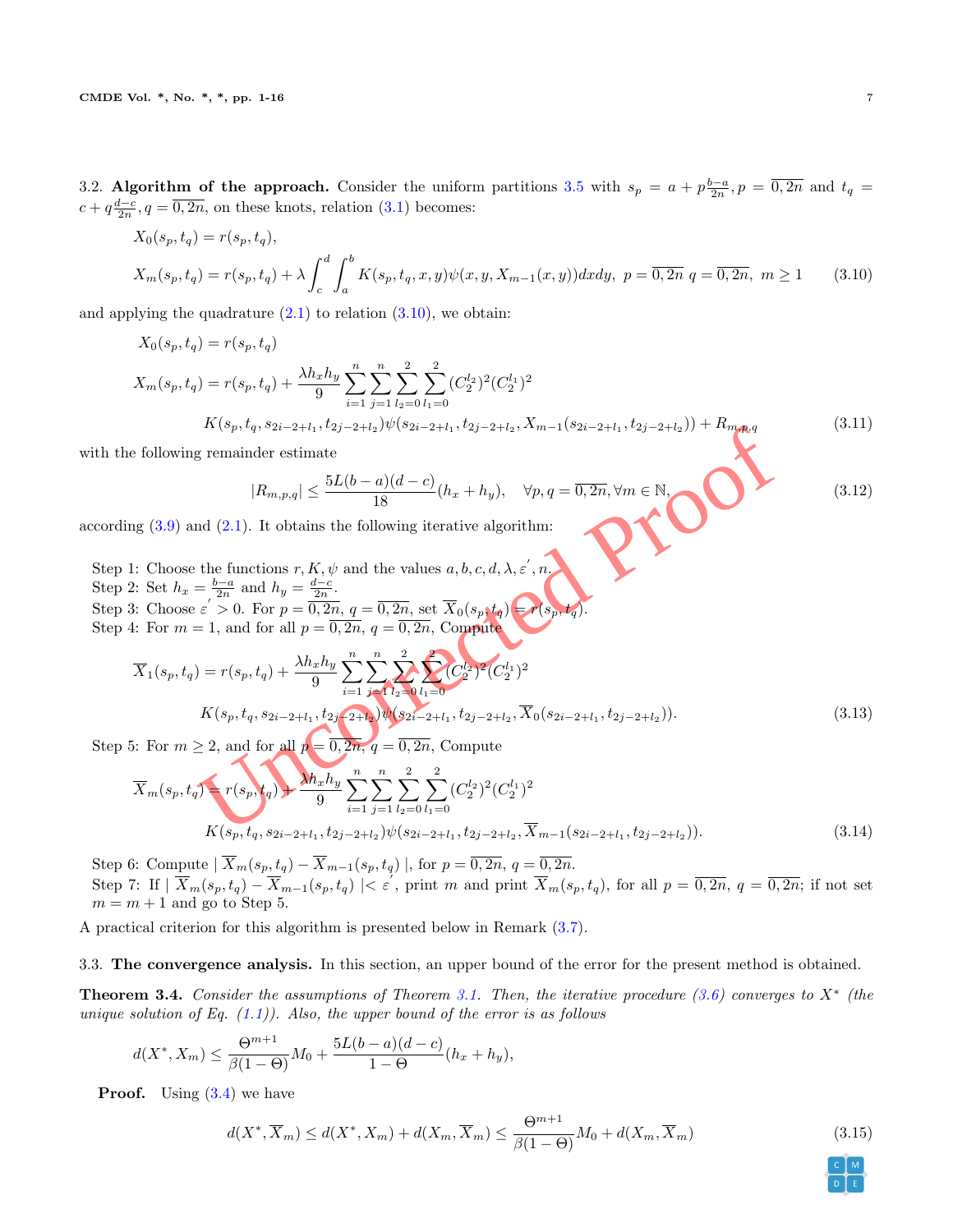3.2. **Algorithm of the approach.** Consider the uniform partitions [3.5](#page-4-1) with  $s_p = a + p \frac{b-a}{2n}$ ,  $p = \overline{0, 2n}$  and  $t_q =$  $c + q \frac{d-c}{2n}, q = \overline{0, 2n}$ , on these knots, relation ([3.1\)](#page-3-3) becomes:

$$
X_0(s_p, t_q) = r(s_p, t_q),
$$
  
\n
$$
X_m(s_p, t_q) = r(s_p, t_q) + \lambda \int_c^d \int_a^b K(s_p, t_q, x, y) \psi(x, y, X_{m-1}(x, y)) dx dy, \ p = \overline{0, 2n} \ q = \overline{0, 2n}, \ m \ge 1
$$
 (3.10)

and applying the quadrature  $(2.1)$  to relation  $(3.10)$  $(3.10)$  $(3.10)$ , we obtain:

$$
X_0(s_p, t_q) = r(s_p, t_q)
$$
  
\n
$$
X_m(s_p, t_q) = r(s_p, t_q) + \frac{\lambda h_x h_y}{9} \sum_{i=1}^n \sum_{j=1}^n \sum_{l_2=0}^2 \sum_{l_1=0}^2 (C_2^{l_2})^2 (C_2^{l_1})^2
$$
  
\n
$$
K(s_p, t_q, s_{2i-2+l_1}, t_{2j-2+l_2}) \psi(s_{2i-2+l_1}, t_{2j-2+l_2}, X_{m-1}(s_{2i-2+l_1}, t_{2j-2+l_2})) + R_{m,p,q}
$$
\n(3.11)

with the following remainder estimate

<span id="page-6-4"></span><span id="page-6-3"></span><span id="page-6-2"></span><span id="page-6-1"></span><span id="page-6-0"></span>
$$
|R_{m,p,q}| \le \frac{5L(b-a)(d-c)}{18}(h_x + h_y), \quad \forall p,q = \overline{0,2n}, \forall m \in \mathbb{N},
$$
\n(3.12)

according  $(3.9)$  $(3.9)$  $(3.9)$  and  $(2.1)$ . It obtains the following iterative algorithm:

- Step 1: Choose the functions  $r, K, \psi$  and the values  $a, b, c, d, \lambda, \varepsilon', n$ . Step 2: Set  $h_x = \frac{b-a}{2n}$  and  $h_y = \frac{d-c}{2n}$ .
- Step 3: Choose  $\varepsilon' > 0$ . For  $p = \overline{0, 2n}$ ,  $q = \overline{0, 2n}$ , set  $\overline{X}_0(s_p, t_q) = r(s_p, t_q)$ *.*
- Step 4: For  $m = 1$ , and for all  $p = \overline{0, 2n}$ ,  $q = \overline{0, 2n}$ , Compute

$$
K(s_p, t_q, s_{2i-2+l_1}, t_{2j-2+l_2})\psi(s_{2i-2+l_1}, t_{2j-2+l_2}, X_{m-1}(s_{2i-2+l_1}, t_{2j-2+l_2})) + R_{m,p,q}
$$
\nthe following remainder estimate

\n
$$
|R_{m,p,q}| \leq \frac{5L(b-a)(d-c)}{18}(h_x + h_y), \quad \forall p, q = \overline{0, 2n}, \forall m \in \mathbb{N},
$$
\nand (3.12)

\nand (3.9) and (2.1). It obtains the following iterative algorithm:

\n1: Choose the functions  $r, K, \psi$  and the values  $a, b, c, d, \lambda, \varepsilon', n$ .

\n2: Set  $h_x = \frac{b-a}{2n}$  and  $h_y = \frac{d-c}{2n}$ .

\n3: Choose  $\varepsilon' > 0$ . For  $p = \overline{0, 2n}$ ,  $q = \overline{0, 2n}$ ,  $\varepsilon' = \overline{0, 2n}$ ,  $\varepsilon' = \overline{0, 2n}$ ,  $\varepsilon' = \overline{0, 2n}$ ,  $\varepsilon' = \overline{0, 2n}$ ,  $\varepsilon' = \overline{0, 2n}$ ,  $\varepsilon' = \overline{0, 2n}$ ,  $\varepsilon' = \overline{0, 2n}$ ,  $\varepsilon' = \overline{0, 2n}$ ,  $\varepsilon' = \overline{0, 2n}$ ,  $\varepsilon' = \overline{0, 2n}$ ,  $\varepsilon' = \overline{0, 2n}$ ,  $\varepsilon' = \overline{0, 2n}$ ,  $\varepsilon' = \overline{0, 2n}$ ,  $\overline{0, 2n-2+l_1, t_{2j-2+l_2}}$ ,  $\overline{X}_0(s_{2i-2+l_1}, t_{2j-2+l_2})$ .

\n5: For  $m \geq 2$ , and for all  $p = \overline{0, 2n}$ ,  $q = \overline{0, 2n}$ ,  $\overline{0, 2n-1} = \overline{0, 2n}$ ,  $\overline{0, 2n-$ 

Step 5: For  $m \geq 2$ , and for all  $p = \overline{0, 2n}, q = \overline{0, 2n}$ , Compute

$$
\overline{X}_{m}(s_{p}, t_{q}) = r(s_{p}, t_{q}) + \frac{\lambda h_{x} h_{y}}{9} \sum_{i=1}^{n} \sum_{j=1}^{n} \sum_{l_{2}=0}^{2} \sum_{l_{1}=0}^{2} (C_{2}^{l_{2}})^{2} (C_{2}^{l_{1}})^{2}
$$
\n
$$
K(s_{p}, t_{q}, s_{2i-2+l_{1}}, t_{2j-2+l_{2}}) \psi(s_{2i-2+l_{1}}, t_{2j-2+l_{2}}, \overline{X}_{m-1}(s_{2i-2+l_{1}}, t_{2j-2+l_{2}})).
$$
\n(3.14)

Step 6: Compute  $| X_m(s_p, t_q) - X_{m-1}(s_p, t_q) |$ , for  $p = 0, 2n, q = 0, 2n$ . Step 7: If  $|\overline{X}_m(s_p,t_q) - \overline{X}_{m-1}(s_p,t_q)| < \varepsilon'$ , print m and print  $\overline{X}_m(s_p,t_q)$ , for all  $p = \overline{0,2n}, q = \overline{0,2n}$ ; if not set  $m = m + 1$  and go to Step 5.

A practical criterion for this algorithm is presented below in Remark ([3.7](#page-9-0)).

3.3. **The convergence analysis.** In this section, an upper bound of the error for the present method is obtained.

<span id="page-6-5"></span>**Theorem 3.4.** *Consider the assumptions of Theorem [3.1](#page-3-2). Then, the iterative procedure*  $(3.6)$  *converges to*  $X^*$  *(the unique solution of Eq. [\(1.1\)](#page-0-0)). Also, the upper bound of the error is as follows*

$$
d(X^*, X_m) \le \frac{\Theta^{m+1}}{\beta(1-\Theta)} M_0 + \frac{5L(b-a)(d-c)}{1-\Theta} (h_x + h_y),
$$

**Proof.** Using  $(3.4)$  we have

$$
d(X^*, \overline{X}_m) \le d(X^*, X_m) + d(X_m, \overline{X}_m) \le \frac{\Theta^{m+1}}{\beta(1-\Theta)} M_0 + d(X_m, \overline{X}_m)
$$
\n(3.15)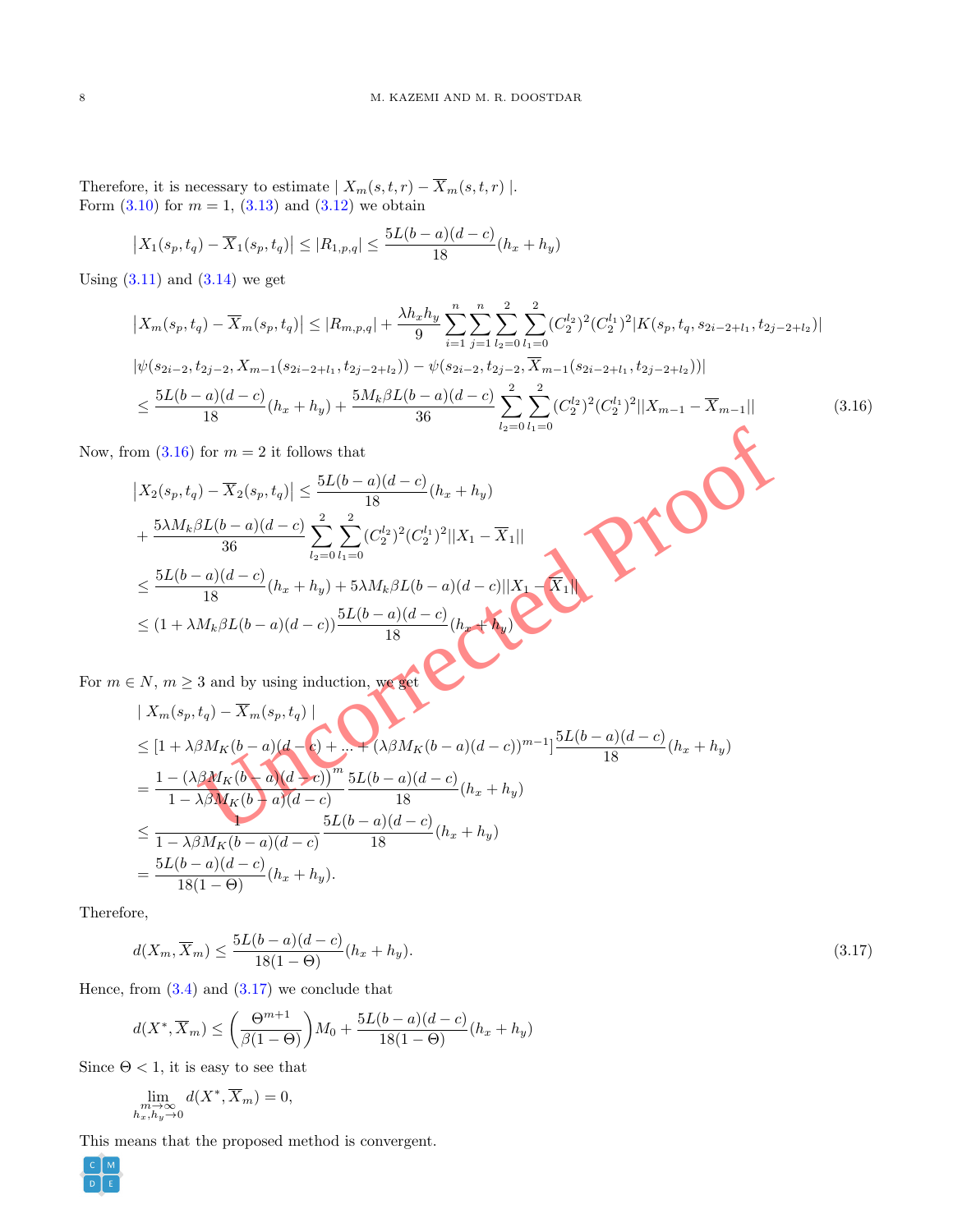Therefore, it is necessary to estimate  $| X_m(s,t,r) - X_m(s,t,r) |$ . Form  $(3.10)$  $(3.10)$  for  $m = 1$ ,  $(3.13)$  and  $(3.12)$  we obtain

$$
\left| X_1(s_p, t_q) - \overline{X}_1(s_p, t_q) \right| \leq \left| R_{1, p, q} \right| \leq \frac{5L(b-a)(d-c)}{18} (h_x + h_y)
$$

Using  $(3.11)$  $(3.11)$  $(3.11)$  and  $(3.14)$  $(3.14)$  we get

$$
\left| X_m(s_p, t_q) - \overline{X}_m(s_p, t_q) \right| \leq \left| R_{m, p, q} \right| + \frac{\lambda h_x h_y}{9} \sum_{i=1}^n \sum_{j=1}^n \sum_{l_2=0}^2 \sum_{l_1=0}^2 (C_2^{l_2})^2 (C_2^{l_1})^2 |K(s_p, t_q, s_{2i-2+l_1}, t_{2j-2+l_2})|
$$
  
\n
$$
\left| \psi(s_{2i-2}, t_{2j-2}, X_{m-1}(s_{2i-2+l_1}, t_{2j-2+l_2})) - \psi(s_{2i-2}, t_{2j-2}, \overline{X}_{m-1}(s_{2i-2+l_1}, t_{2j-2+l_2})) \right|
$$
  
\n
$$
\leq \frac{5L(b-a)(d-c)}{18} (h_x + h_y) + \frac{5M_k \beta L(b-a)(d-c)}{36} \sum_{l_2=0}^n \sum_{l_1=0}^2 (C_2^{l_2})^2 (C_2^{l_1})^2 ||X_{m-1} - \overline{X}_{m-1}||
$$
(3.16)

Now, from  $(3.16)$  $(3.16)$  $(3.16)$  for  $m = 2$  it follows that

$$
\begin{aligned} \left| X_2(s_p, t_q) - \overline{X}_2(s_p, t_q) \right| &\leq \frac{5L(b-a)(d-c)}{18} (h_x + h_y) \\ &+ \frac{5\lambda M_k \beta L(b-a)(d-c)}{36} \sum_{l_2=0}^2 \sum_{l_1=0}^2 (C_2^{l_2})^2 (C_2^{l_1})^2 ||X_1 - \overline{X}_1|| \\ &\leq \frac{5L(b-a)(d-c)}{18} (h_x + h_y) + 5\lambda M_k \beta L(b-a)(d-c) ||X_1 - \overline{X}_1|| \\ &\leq (1 + \lambda M_k \beta L(b-a)(d-c)) \frac{5L(b-a)(d-c)}{18} (h_x + h_y) \end{aligned}
$$

For  $m \in N$ ,  $m \geq 3$  and by using induction, we get

<span id="page-7-0"></span>
$$
\lim_{l_2=0} \frac{(3.16) \text{ for } m = 2 \text{ it follows that}}{|X_2(s_p, t_q) - \overline{X}_2(s_p, t_q)|} \leq \frac{5L(b-a)(d-c)}{18} (h_x + h_y)
$$
\n
$$
+ \frac{5\lambda M_k \beta L(b-a)(d-c)}{36} \sum_{l_2=0}^{2} \sum_{l_1=0}^{2} (C_2^{l_2})^2 (C_2^{l_1})^2 ||X_1 - \overline{X}_1||
$$
\n
$$
\leq \frac{5L(b-a)(d-c)}{18} (h_x + h_y) + 5\lambda M_k \beta L(b-a)(d-c)||X_1 - \overline{X}_1||
$$
\n
$$
\leq (1 + \lambda M_k \beta L(b-a)(d-c)) \frac{5L(b-a)(d-c)}{18} (h_x + h_y)
$$
\n
$$
N, m \geq 3 \text{ and by using induction, we get}
$$
\n
$$
|X_m(s_p, t_q) - \overline{X}_m(s_p, t_q)|
$$
\n
$$
\leq [1 + \lambda \beta M_K(b-a)(d-c) + \lambda \beta M_K(b-a)(d-c))^{m-1} \frac{5L(b-a)(d-c)}{18} (h_x + h_y)
$$
\n
$$
= \frac{1 - (\lambda \beta M_K(b-a)(d-c))}{1 - \lambda \beta M_K(b-a)(d-c)} \frac{5L(b-a)(d-c)}{18} (h_x + h_y)
$$
\n
$$
= \frac{5L(b-a)(d-c)}{18(1 - \Theta)} (h_x + h_y).
$$

Therefore,

<span id="page-7-1"></span>
$$
d(X_m, \overline{X}_m) \le \frac{5L(b-a)(d-c)}{18(1-\Theta)}(h_x + h_y).
$$
\n(3.17)

Hence, from  $(3.4)$  $(3.4)$  $(3.4)$  and  $(3.17)$  $(3.17)$  we conclude that

$$
d(X^*, \overline{X}_m) \le \left(\frac{\Theta^{m+1}}{\beta(1-\Theta)}\right) M_0 + \frac{5L(b-a)(d-c)}{18(1-\Theta)}(h_x + h_y)
$$

Since  $\Theta$  < 1, it is easy to see that

$$
\lim_{\substack{m \to \infty \\ h_x, h_y \to 0}} d(X^*, \overline{X}_m) = 0,
$$

This means that the proposed method is convergent.

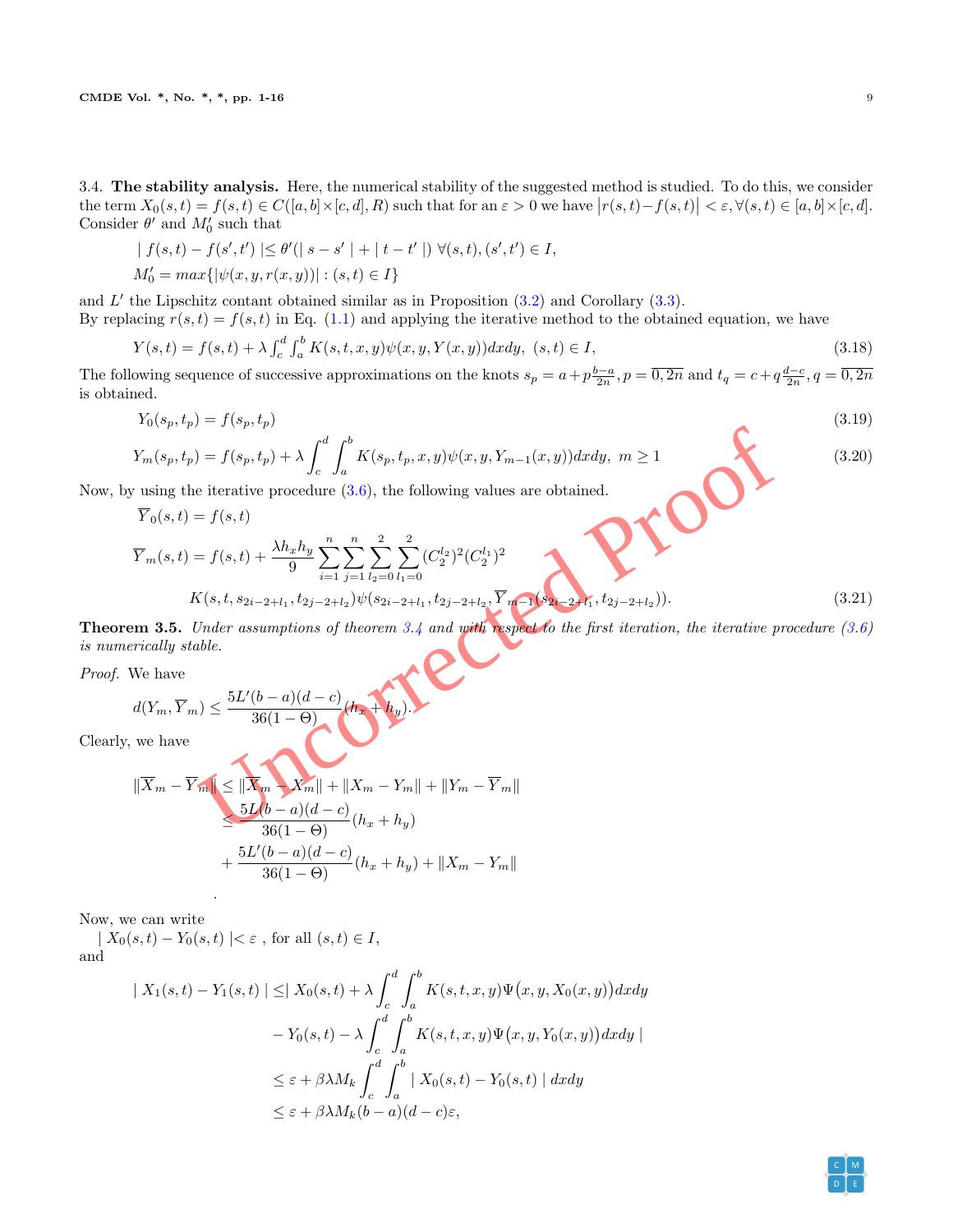3.4. **The stability analysis.** Here, the numerical stability of the suggested method is studied. To do this, we consider the term  $X_0(s,t) = f(s,t) \in C([a,b] \times [c,d], R)$  such that for an  $\varepsilon > 0$  we have  $|r(s,t) - f(s,t)| < \varepsilon, \forall (s,t) \in [a,b] \times [c,d]$ . Consider  $\theta'$  and  $M'_0$  such that

$$
| f(s,t) - f(s',t') | \le \theta'(|s - s'| + |t - t'|) \ \forall (s,t), (s',t') \in I,
$$
  

$$
M'_0 = \max\{|\psi(x,y,r(x,y))| : (s,t) \in I\}
$$

and L' the Lipschitz contant obtained similar as in Proposition  $(3.2)$  $(3.2)$  and Corollary  $(3.3)$ .

By replacing  $r(s,t) = f(s,t)$  in Eq. [\(1.1\)](#page-0-0) and applying the iterative method to the obtained equation, we have

$$
Y(s,t) = f(s,t) + \lambda \int_{c}^{d} \int_{a}^{b} K(s,t,x,y) \psi(x,y,Y(x,y)) dx dy, \ (s,t) \in I,
$$
\n(3.18)

The following sequence of successive approximations on the knots  $s_p = a + p \frac{b-a}{2n}$ ,  $p = \overline{0, 2n}$  and  $t_q = c + q \frac{d-c}{2n}$ ,  $q = \overline{0, 2n}$ is obtained.

$$
Y_0(s_p, t_p) = f(s_p, t_p) \tag{3.19}
$$

$$
Y_m(s_p, t_p) = f(s_p, t_p) + \lambda \int_c^d \int_a^b K(s_p, t_p, x, y) \psi(x, y, Y_{m-1}(x, y)) dx dy, \ m \ge 1
$$
\n(3.20)

Now, by using the iterative procedure (3.6), the following values are obtained.

$$
Y_m(s_p, t_p) = f(s_p, t_p) + \lambda \int_c^d \int_a^b K(s_p, t_p, x, y) \psi(x, y, Y_{m-1}(x, y)) dx dy, \ m \ge 1
$$
\n
$$
\overline{Y}_0(s, t) = f(s, t)
$$
\n
$$
\overline{Y}_m(s, t) = f(s, t)
$$
\n
$$
\overline{Y}_m(s, t) = f(s, t) + \frac{\lambda h_x h_y}{9} \sum_{i=1}^n \sum_{j=1}^n \sum_{l_2=0}^2 \sum_{l_1=0}^2 (C_2^{l_2})^2 (C_2^{l_1})^2
$$
\n
$$
K(s, t, s_{2i-2+l_1}, t_{2j-2+l_2}) \psi(s_{2i-2+l_1}, t_{2j-2+l_2}, \overline{Y}_m)
$$
\n
$$
K(s, t, s_{2i-2+l_1}, t_{2j-2+l_2}) \psi(s_{2i-2+l_1}, t_{2j-2+l_2}, \overline{Y}_m)
$$
\n
$$
\overline{Y}_m
$$
\n
$$
d(Y_m, \overline{Y}_m) \le \frac{5L'(b-a)(d-c)}{36(1-\Theta)} (h_x + h_y).
$$
\n
$$
\overline{X}_m - \overline{Y}_m \le \|\overline{X}_m - X_m\| + \|X_m - Y_m\| + \|Y_m - \overline{Y}_m\|
$$
\n
$$
\le \frac{5L(b-a)(d-c)}{36(1-\Theta)} (h_x + h_y).
$$
\n
$$
(3.21)
$$
\n
$$
\overline{X}_m - \overline{Y}_m
$$
\n
$$
\le \|\overline{X}_m - X_m\| + \|X_m - Y_m\| + \|Y_m - \overline{Y}_m\|
$$
\n
$$
\le \frac{5L(b-a)(d-c)}{36(1-\Theta)} (h_x + h_y)
$$
\n
$$
(4.2)
$$

<span id="page-8-0"></span>**Theorem 3.5.** *Under assumptions of theorem 3.4 and with respect to the first iteration, the iterative procedure ([3.6](#page-4-2)) is numerically stable.*

*Proof.* We have

$$
d(Y_m,\overline{Y}_m) \leq \frac{5L'(b-a)(d-c)}{36(1-\Theta)}\big(h_x+h_y\big).
$$

Clearly, we have

$$
\|\overline{X}_{m} - \overline{Y}_{m}\| \leq \|\overline{X}_{m} - X_{m}\| + \|X_{m} - Y_{m}\| + \|Y_{m} - \overline{Y}_{m}\|
$$
  

$$
\leq \frac{5L(b-a)(d-c)}{36(1-\Theta)}(h_{x} + h_{y}) + \|X_{m} - Y_{m}\|
$$
  

$$
+ \frac{5L'(b-a)(d-c)}{36(1-\Theta)}(h_{x} + h_{y}) + \|X_{m} - Y_{m}\|
$$

Now, we can write

*| <i>X*<sub>0</sub>(*s, t*) *−Y*<sub>0</sub>(*s, t*) |<  $\varepsilon$ , for all  $(s, t) \in I$ , and

*.*

$$
\begin{aligned} \mid X_1(s,t) - Y_1(s,t) \mid &\leq \mid X_0(s,t) + \lambda \int_c^d \int_a^b K(s,t,x,y) \Psi(x,y,X_0(x,y)) dx dy \\ &- Y_0(s,t) - \lambda \int_c^d \int_a^b K(s,t,x,y) \Psi(x,y,Y_0(x,y)) dx dy \mid \\ &\leq \varepsilon + \beta \lambda M_k \int_c^d \int_a^b \mid X_0(s,t) - Y_0(s,t) \mid dx dy \\ &\leq \varepsilon + \beta \lambda M_k (b-a)(d-c)\varepsilon, \end{aligned}
$$

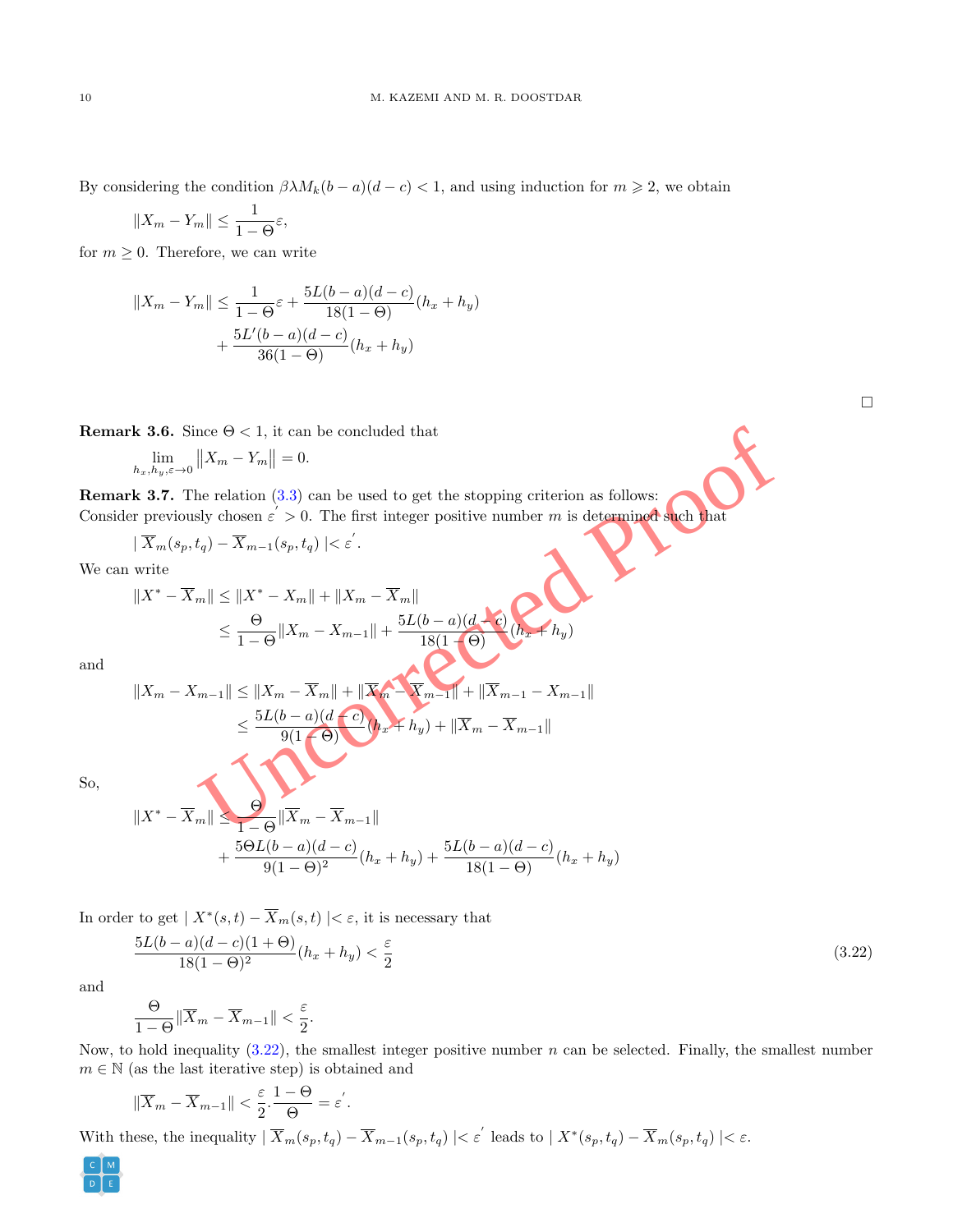By considering the condition  $\beta \lambda M_k(b-a)(d-c) < 1$ , and using induction for  $m \geq 2$ , we obtain

$$
||X_m - Y_m|| \le \frac{1}{1 - \Theta} \varepsilon,
$$

for  $m \geq 0$ . Therefore, we can write

$$
||X_m - Y_m|| \le \frac{1}{1 - \Theta} \varepsilon + \frac{5L(b - a)(d - c)}{18(1 - \Theta)} (h_x + h_y) + \frac{5L'(b - a)(d - c)}{36(1 - \Theta)} (h_x + h_y)
$$

**Remark 3.6.** Since  $\Theta$  < 1, it can be concluded that

$$
\lim_{h_x, h_y, \varepsilon \to 0} ||X_m - Y_m|| = 0.
$$

<span id="page-9-0"></span>**Remark 3.7.** The relation  $(3.3)$  can be used to get the stopping criterion as follows: Consider previously chosen  $\varepsilon > 0$ . The first integer positive number m is determined such that

$$
| \overline{X}_m(s_p, t_q) - \overline{X}_{m-1}(s_p, t_q) | < \varepsilon'.
$$

We can write

*∥X<sup>∗</sup> −*

**3.6.** Since 
$$
\Theta < 1
$$
, it can be concluded that\n
$$
\lim_{x_n, h_y, \varepsilon \to 0} \|X_m - Y_m\| = 0.
$$
\n**3.7.** The relation (3.3) can be used to get the stopping criterion as follows:\npreviously chosen  $\varepsilon > 0$ . The first integer positive number  $m$  is determined such that\n
$$
\overline{X}_m(s_p, t_q) - \overline{X}_{m-1}(s_p, t_q) < \varepsilon'.
$$
\n
$$
X^* - \overline{X}_m\| \le \|X^* - X_m\| + \|X_m - \overline{X}_m\|
$$
\n
$$
\le \frac{\Theta}{1-\Theta} \|X_m - X_{m-1}\| + \frac{5L(b-a)(d-c)}{18(1-\Theta)} \frac{h_x}{(h_x+h_y)}
$$
\n
$$
X_m - X_{m-1}\| \le \|X_m - \overline{X}_m\| + \|\overline{X}_m - \overline{X}_{m-1}\| + \|\overline{X}_{m-1} - X_{m-1}\|
$$
\n
$$
\le \frac{5L(b-a)(d-c)}{9(1-\Theta)} (h_x+h_y) + \|\overline{X}_m - \overline{X}_{m-1}\|
$$
\n
$$
X^* - \overline{X}_m\| \le \frac{\Theta}{1-\Theta} \|\overline{X}_m - \overline{X}_{m-1}\|
$$

and

$$
||X_m - X_{m-1}|| \le ||X_m - \overline{X}_m|| + ||\overline{X}_m - \overline{X}_{m-1}|| + ||\overline{X}_{m-1} - X_{m-1}||
$$
  

$$
\le \frac{5L(b-a)(d-c)}{9(1-c)(h_x + h_y) + ||\overline{X}_m - \overline{X}_{m-1}||}
$$

So,

$$
||X^* - \overline{X}_m|| \le \frac{\Theta}{1 - \Theta} ||\overline{X}_m - \overline{X}_{m-1}||
$$
  
+ 
$$
\frac{5\Theta L(b - a)(d - c)}{9(1 - \Theta)^2} (h_x + h_y) + \frac{5L(b - a)(d - c)}{18(1 - \Theta)} (h_x + h_y)
$$

In order to get  $| X^*(s,t) - X_m(s,t) | < \varepsilon$ , it is necessary that

$$
\frac{5L(b-a)(d-c)(1+\Theta)}{18(1-\Theta)^2}(h_x+h_y) < \frac{\varepsilon}{2} \tag{3.22}
$$

and

$$
\frac{\Theta}{1-\Theta} \|\overline{X}_m - \overline{X}_{m-1}\| < \frac{\varepsilon}{2}.
$$

Now, to hold inequality  $(3.22)$  $(3.22)$  $(3.22)$ , the smallest integer positive number *n* can be selected. Finally, the smallest number  $m \in \mathbb{N}$  (as the last iterative step) is obtained and

$$
\|\overline{X}_m - \overline{X}_{m-1}\| < \frac{\varepsilon}{2} \cdot \frac{1-\Theta}{\Theta} = \varepsilon'.
$$

With these, the inequality  $|\overline{X}_m(s_p,t_q) - \overline{X}_{m-1}(s_p,t_q)| < \varepsilon'$  leads to  $|X^*(s_p,t_q) - \overline{X}_m(s_p,t_q)| < \varepsilon$ .



<span id="page-9-1"></span> $\Box$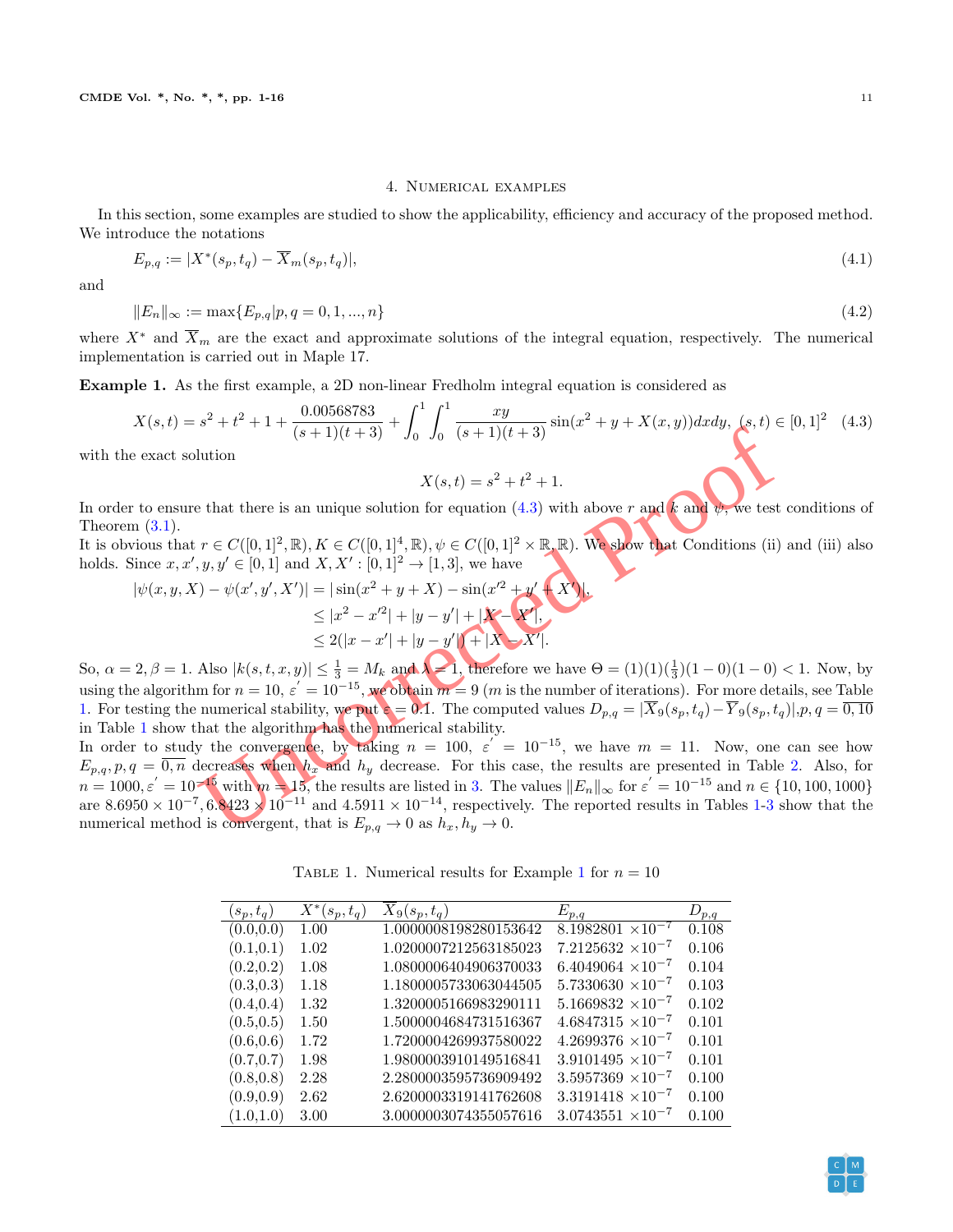## 4. Numerical examples

<span id="page-10-0"></span>In this section, some examples are studied to show the applicability, efficiency and accuracy of the proposed method. We introduce the notations

$$
E_{p,q} := |X^*(s_p, t_q) - \overline{X}_m(s_p, t_q)|,\tag{4.1}
$$

and

$$
||E_n||_{\infty} := \max\{E_{p,q}|p,q=0,1,...,n\}
$$
\n(4.2)

where  $X^*$  and  $\overline{X}_m$  are the exact and approximate solutions of the integral equation, respectively. The numerical implementation is carried out in Maple 17.

<span id="page-10-3"></span>**Example 1.** As the first example, a 2D non-linear Fredholm integral equation is considered as

$$
X(s,t) = s^2 + t^2 + 1 + \frac{0.00568783}{(s+1)(t+3)} + \int_0^1 \int_0^1 \frac{xy}{(s+1)(t+3)} \sin(x^2 + y + X(x,y)) dx dy, \ (s,t) \in [0,1]^2 \tag{4.3}
$$

with the exact solution

$$
X(s,t) = s^2 + t^2 + 1.
$$

In order to ensure that there is an unique solution for equation  $(4.3)$  with above r and k and  $\psi$ , we test conditions of Theorem ([3.1\)](#page-3-2).

It is obvious that  $r \in C([0,1]^2,\mathbb{R})$ ,  $K \in C([0,1]^4,\mathbb{R})$ ,  $\psi \in C([0,1]^2 \times \mathbb{R},\mathbb{R})$ . We show that Conditions (ii) and (iii) also holds. Since  $x, x', y, y' \in [0, 1]$  and  $X, X' : [0, 1]^2 \to [1, 3]$ , we have

$$
|\psi(x, y, X) - \psi(x', y', X')| = |\sin(x^2 + y + X) - \sin(x'^2 + y' + X')|,
$$
  
\n
$$
\leq |x^2 - x'^2| + |y - y'| + |X - X'|,
$$
  
\n
$$
\leq 2(|x - x'| + |y - y'| + |X - X'|).
$$

So,  $\alpha = 2, \beta = 1$ . Also  $|k(s, t, x, y)| \leq \frac{1}{3} = M_k$  and  $\lambda = 1$ , therefore we have  $\Theta = (1)(1)(\frac{1}{3})(1-0)(1-0) < 1$ . Now, by using the algorithm for  $n = 10$ ,  $\varepsilon' = 10^{-15}$ , we obtain  $m = 9$  (*m* is the number of iterations). For more details, see Table [1.](#page-10-2) For testing the numerical stability, we put  $\epsilon = 0.1$ . The computed values  $D_{p,q} = |X_9(s_p, t_q) - Y_9(s_p, t_q)|, p, q = 0.10$ in Table [1](#page-10-2) show that the algorithm has the numerical stability.

Let us a manipus solution  $X(s,t) = s^2 + t^2 + 1$ .<br>
Ethat there is an unique solution for equation (4.3) with above r and *k* and  $\psi$ , we test<br>  $r \in C([0,1]^2, \mathbb{R})$ ,  $K \in C([0,1]^4, \mathbb{R})$ ,  $\psi \in C([0,1]^2 \times \mathbb{R}, \mathbb{R})$ . We show tha In order to study the convergence, by taking  $n = 100$ ,  $\varepsilon' = 10^{-15}$ , we have  $m = 11$ . Now, one can see how  $E_{p,q}, p, q = \overline{0,n}$  decreases when  $h_x$  and  $h_y$  decrease. For this case, the results are presented in Table [2](#page-11-0). Also, for  $n = 1000, \varepsilon' = 10^{-15}$  with  $m = 15$ , the results are listed in 3. The values  $||E_n||_{\infty}$  for  $\varepsilon' = 10^{-15}$  and  $n \in \{10, 100, 1000\}$ are  $8.6950 \times 10^{-7}$ ,  $6.8423 \times 10^{-11}$  and  $4.5911 \times 10^{-14}$ , respectively. The reported results in Tables 1-3 show that the numerical method is convergent, that is  $E_{p,q} \to 0$  as  $h_x, h_y \to 0$ .

<span id="page-10-2"></span>TABLE [1](#page-10-3). Numerical results for Example 1 for  $n = 10$ 

| $(s_p,t_q)$ | $X^*(s_p,t_q)$ | $\overline{X}_9(s_p,t_q)$ | $E_{p,q}$                  | $D_{p,q}$ |
|-------------|----------------|---------------------------|----------------------------|-----------|
| (0.0, 0.0)  | 1.00           | 1.0000008198280153642     | $8.1982801 \times 10^{-7}$ | 0.108     |
| (0.1, 0.1)  | 1.02           | 1.0200007212563185023     | $7.2125632 \times 10^{-7}$ | 0.106     |
| (0.2, 0.2)  | 1.08           | 1.0800006404906370033     | $6.4049064 \times 10^{-7}$ | 0.104     |
| (0.3, 0.3)  | 1.18           | 1.1800005733063044505     | $5.7330630 \times 10^{-7}$ | 0.103     |
| (0.4, 0.4)  | 1.32           | 1.3200005166983290111     | $5.1669832 \times 10^{-7}$ | 0.102     |
| (0.5, 0.5)  | 1.50           | 1.5000004684731516367     | $4.6847315 \times 10^{-7}$ | 0.101     |
| (0.6, 0.6)  | 1.72           | 1.7200004269937580022     | $4.2699376 \times 10^{-7}$ | 0.101     |
| (0.7, 0.7)  | 1.98           | 1.9800003910149516841     | $3.9101495 \times 10^{-7}$ | 0.101     |
| (0.8, 0.8)  | 2.28           | 2.2800003595736909492     | $3.5957369 \times 10^{-7}$ | 0.100     |
| (0.9, 0.9)  | 2.62           | 2.6200003319141762608     | $3.3191418 \times 10^{-7}$ | 0.100     |
| (1.0.1.0)   | 3.00           | 3.0000003074355057616     | $3.0743551 \times 10^{-7}$ | 0.100     |

<span id="page-10-1"></span>

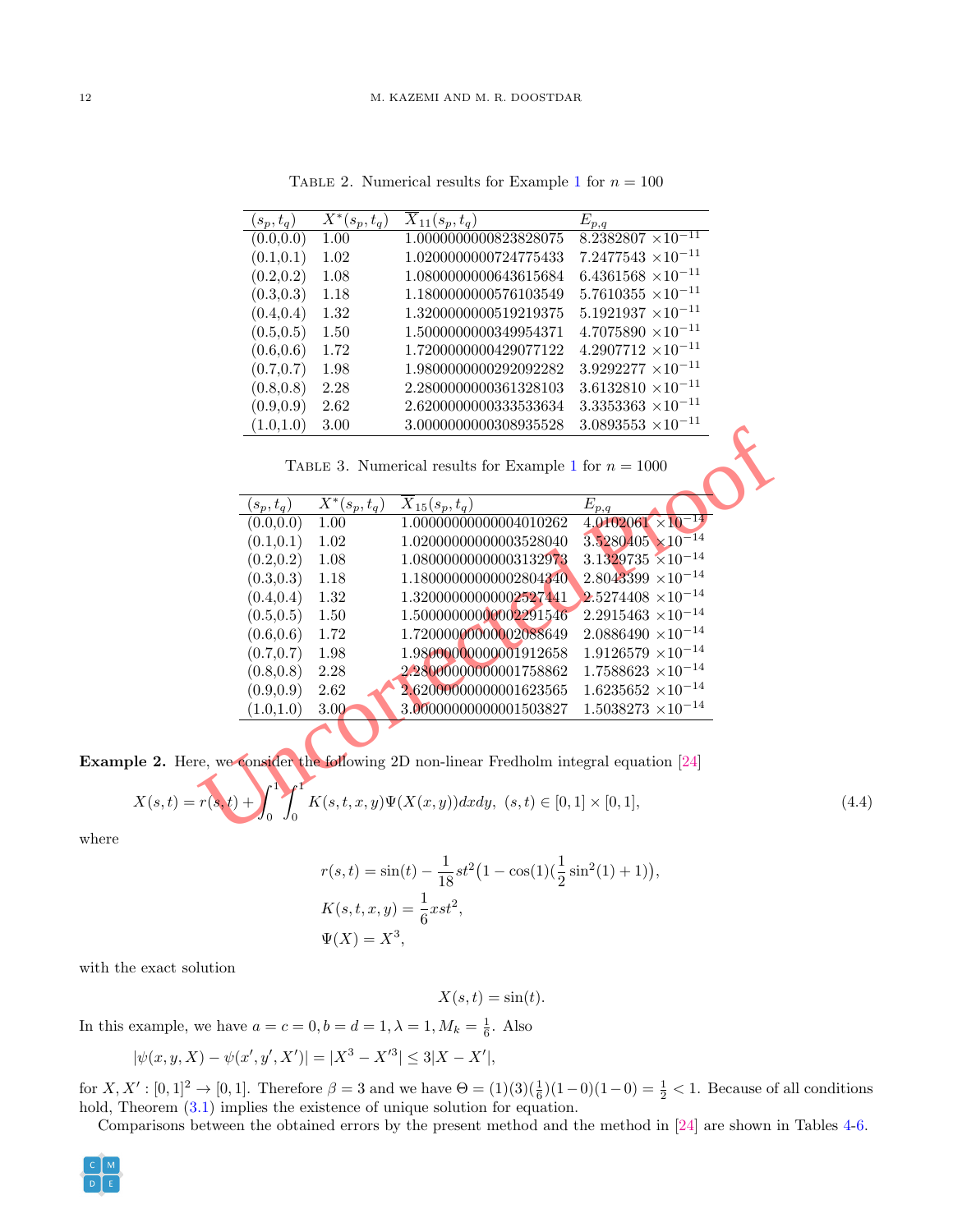<span id="page-11-0"></span>TABLE 2. Numerical results for Example [1](#page-10-3) for  $n = 100$ 

| $(s_p,t_q)$ | $X^*(s_p, t_q)$ | $\overline{X}_{11}(s_p,t_q)$ | $E_{p,q}$                   |
|-------------|-----------------|------------------------------|-----------------------------|
|             |                 |                              |                             |
| (0.0, 0.0)  | 1.00            | 1.0000000000823828075        | $8.2382807 \times 10^{-11}$ |
| (0.1, 0.1)  | 1.02            | 1.0200000000724775433        | $7.2477543 \times 10^{-11}$ |
| (0.2, 0.2)  | 1.08            | 1.0800000000643615684        | $6.4361568 \times 10^{-11}$ |
| (0.3, 0.3)  | 1.18            | 1.1800000000576103549        | $5.7610355 \times 10^{-11}$ |
| (0.4, 0.4)  | 1.32            | 1.3200000000519219375        | $5.1921937 \times 10^{-11}$ |
| (0.5, 0.5)  | 1.50            | 1.5000000000349954371        | $4.7075890 \times 10^{-11}$ |
| (0.6, 0.6)  | 1.72            | 1.7200000000429077122        | $4.2907712 \times 10^{-11}$ |
| (0.7, 0.7)  | 1.98            | 1.9800000000292092282        | $3.9292277 \times 10^{-11}$ |
| (0.8, 0.8)  | 2.28            | 2.2800000000361328103        | $3.6132810 \times 10^{-11}$ |
| (0.9, 0.9)  | 2.62            | 2.6200000000333533634        | $3.3353363 \times 10^{-11}$ |
| (1.0, 1.0)  | 3.00            | 3.0000000000308935528        | $3.0893553 \times 10^{-11}$ |

<span id="page-11-1"></span>TABLE 3. Numerical results for Example 1 for  $n = 1000$ 

| $(s_p,t_q)$<br>(0.0, 0.0) | $X^*(s_p,t_q)$<br>1.00 | $X_{15}(s_p, t_q)$<br>1.00000000000004010262                               | $E_{p,q}$<br>$4.0102061 \times 10^{-14}$ |
|---------------------------|------------------------|----------------------------------------------------------------------------|------------------------------------------|
| (0.1, 0.1)                | 1.02                   | 1.02000000000003528040                                                     | $3.5280405 \times 10^{-14}$              |
| (0.2, 0.2)                | 1.08                   | 1.08000000000003132973                                                     | $3.1329735 \times 10^{-14}$              |
| $(0.3, 0.3)$ 1.18         |                        | 1.18000000000002804340                                                     | $2.8043399 \times 10^{-14}$              |
| (0.4, 0.4)                | 1.32                   | 1.32000000000002527441                                                     | $2.5274408 \times 10^{-14}$              |
| (0.5, 0.5)                | 1.50                   | 1.50000000000002291546                                                     | $2.2915463~\times10^{-14}$               |
| (0.6, 0.6)                | 1.72                   | 1.72000000000002088649                                                     | $2.0886490 \times 10^{-14}$              |
| (0.7, 0.7)                | 1.98                   | 1.9800000000001912658                                                      | $1.9126579 \times 10^{-14}$              |
| (0.8, 0.8)                | 2.28                   | 2.28000000000001758862                                                     | $1.7588623 \times 10^{-14}$              |
| (0.9, 0.9)                | 2.62                   | 2.62000000000001623565                                                     | $1.6235652\ \times 10^{-14}$             |
| (1.0, 1.0)                | 3.00                   | 3.00000000000001503827                                                     | $1.5038273 \times 10^{-14}$              |
|                           |                        | e, we consider the following 2D non-linear Fredholm integral equation [24] |                                          |

<span id="page-11-2"></span>**Example 2.** Here, we consider the following 2D non-linear Fredholm integral equation [24]

$$
X(s,t) = r(s,t) + \int_0^1 \int_0^1 K(s,t,x,y) \Psi(X(x,y)) dx dy, \ (s,t) \in [0,1] \times [0,1], \tag{4.4}
$$

where

$$
r(s,t) = \sin(t) - \frac{1}{18}st^2(1 - \cos(1)(\frac{1}{2}\sin^2(1) + 1)),
$$
  
\n
$$
K(s,t,x,y) = \frac{1}{6}s^2,
$$
  
\n
$$
\Psi(X) = X^3,
$$

with the exact solution

 $X(s,t) = \sin(t)$ .

In this example, we have  $a = c = 0, b = d = 1, \lambda = 1, M_k = \frac{1}{6}$ . Also

$$
|\psi(x, y, X) - \psi(x', y', X')| = |X^3 - X'^3| \le 3|X - X'|,
$$

for  $X, X' : [0,1]^2 \to [0,1]$ . Therefore  $\beta = 3$  and we have  $\Theta = (1)(3)(\frac{1}{6})(1-0)(1-0) = \frac{1}{2} < 1$ . Because of all conditions hold, Theorem  $(3.1)$  $(3.1)$  $(3.1)$  implies the existence of unique solution for equation.

Comparisons between the obtained errors by the present method and the method in  $[24]$  $[24]$  $[24]$  are shown in Tables [4](#page-12-0)-[6](#page-12-1).

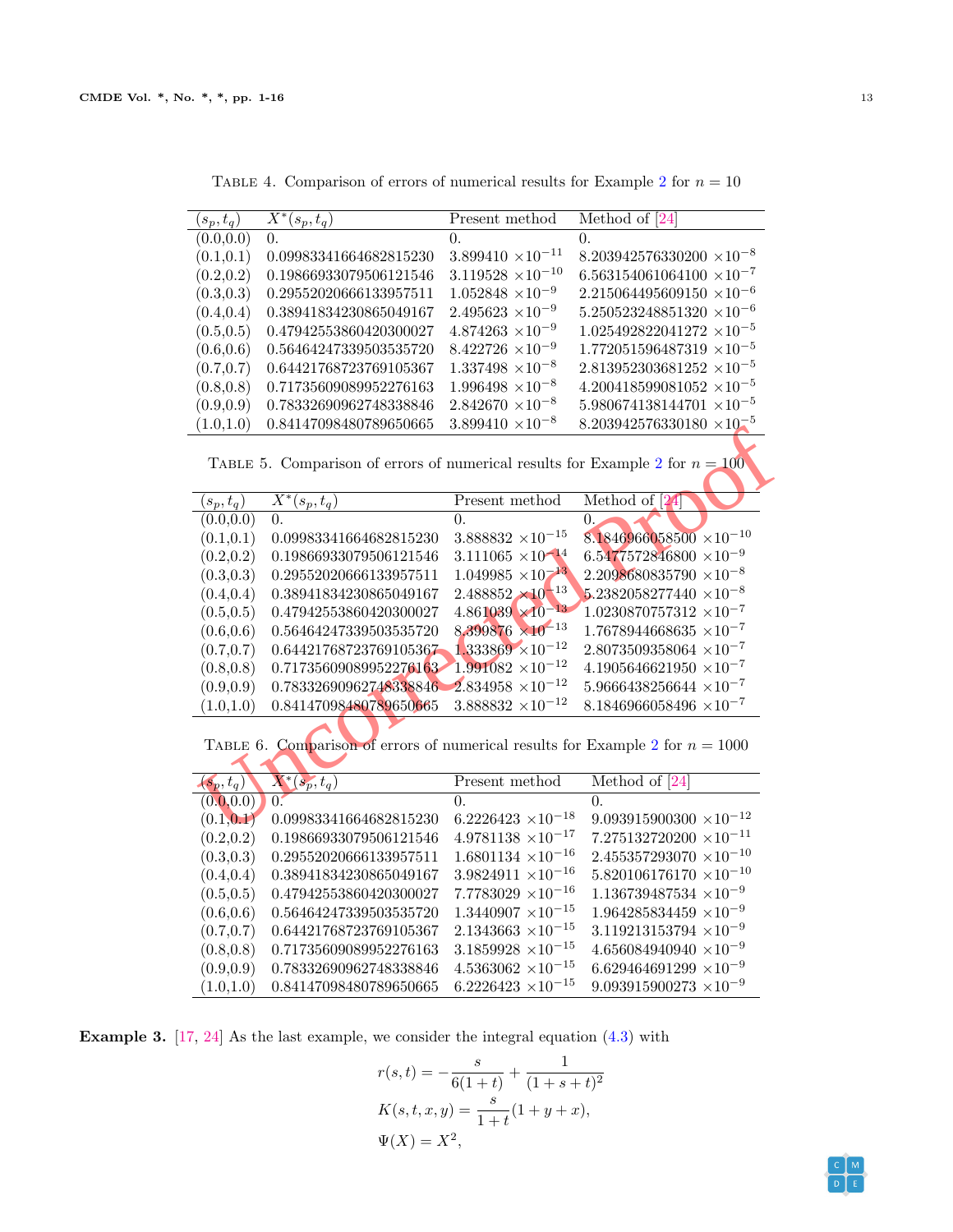| $(s_p,t_q)$            | $X^*(s_p,t_q)$                                                                  | Present method              | Method of $[24]$                          |
|------------------------|---------------------------------------------------------------------------------|-----------------------------|-------------------------------------------|
| $\overline{(0.0,0.0)}$ | $\theta$ .                                                                      | 0.                          | $\theta$ .                                |
| (0.1, 0.1)             | 0.09983341664682815230                                                          | $3.899410 \times 10^{-11}$  | $8.203942576330200 \times 10^{-8}$        |
| (0.2, 0.2)             | 0.19866933079506121546                                                          | $3.119528 \times 10^{-10}$  | $6.563154061064100 \times 10^{-7}$        |
| (0.3, 0.3)             | 0.29552020666133957511                                                          | $1.052848 \times 10^{-9}$   | $2.215064495609150 \times 10^{-6}$        |
| (0.4, 0.4)             | 0.38941834230865049167                                                          | $2.495623 \times 10^{-9}$   | $5.250523248851320 \times 10^{-6}$        |
| (0.5, 0.5)             | 0.47942553860420300027                                                          | $4.874263 \times 10^{-9}$   | $1.025492822041272$ × $10^{-5}$           |
| (0.6, 0.6)             | 0.56464247339503535720                                                          | $8.422726 \times 10^{-9}$   | $1.772051596487319 \times 10^{-5}$        |
| (0.7, 0.7)             | 0.64421768723769105367                                                          | $1.337498 \times 10^{-8}$   | $2.813952303681252~\times10^{-5}$         |
| (0.8, 0.8)             | 0.71735609089952276163                                                          | $1.996498\ \times 10^{-8}$  | $4.200418599081052 \times 10^{-5}$        |
| (0.9, 0.9)             | 0.78332690962748338846                                                          | $2.842670 \times 10^{-8}$   | $5.980674138144701 \times 10^{-5}$        |
| (1.0, 1.0)             | 0.84147098480789650665                                                          | $3.899410 \times 10^{-8}$   | 8.203942576330180 $\times 10^{-5}$        |
|                        | TABLE 5. Comparison of errors of numerical results for Example 2 for $n = 100$  |                             |                                           |
| $(s_p,t_q)$            | $\overline{X}^*(s_p,t_q)$                                                       | Present method              | Method of [24]                            |
| (0.0, 0.0)             | $\overline{0}$ .                                                                | $\Omega$ .                  | $\Omega$ .                                |
| (0.1, 0.1)             | 0.09983341664682815230                                                          | $3.888832 \times 10^{-15}$  | $8.1846966058500 \times 10^{-10}$         |
| (0.2, 0.2)             | 0.19866933079506121546                                                          | $3.111065 \times 10^{-14}$  | $6.5477572846800 \times 10^{-9}$          |
| (0.3, 0.3)             | 0.29552020666133957511                                                          | $1.049985 \times 10^{-13}$  | $2.2098680835790 \times 10^{-8}$          |
| (0.4, 0.4)             | 0.38941834230865049167                                                          | $2.488852 \times 10^{-13}$  | $5.2382058277440 \times 10^{-8}$          |
| (0.5, 0.5)             | 0.47942553860420300027                                                          | $4.861039 \times 10^{-13}$  | $1.0230870757312 \times 10^{-7}$          |
| (0.6, 0.6)             | 0.56464247339503535720                                                          | $8,399876 \times 10^{-13}$  | $1.7678944668635 \times 10^{-7}$          |
| (0.7, 0.7)             | 0.64421768723769105367                                                          | $1.333869 \times 10^{-12}$  | $2.8073509358064 \times 10^{-7}$          |
| (0.8, 0.8)             | 0.71735609089952276163                                                          | $1.991082 \times 10^{-12}$  | $4.1905646621950 \times 10^{-7}$          |
| (0.9, 0.9)             | 0.78332690962748338846                                                          | $2.834958 \times 10^{-12}$  | $5.9666438256644 \times 10^{-7}$          |
| (1.0, 1.0)             | 0.84147098480789650665                                                          | $3.888832\ \times 10^{-12}$ | $8.1846966058496 \times 10^{-7}$          |
|                        | TABLE 6. Comparison of errors of numerical results for Example 2 for $n = 1000$ |                             |                                           |
| $(s_p,t_q)$            | $\overline{X^*(s_p,t_q)}$                                                       | Present method              | Method of $\boxed{24}$                    |
| (0.0, 0.0)             | $\overline{0}$ :                                                                | $\overline{0}$ .            | $\overline{0}$ .                          |
| (0.1, 0.1)             | 0.09983341664682815230                                                          | $6.2226423~\times 10^{-18}$ | 9.093915900300 $\times$ 10 <sup>-12</sup> |
| (0, 0, 0)              |                                                                                 |                             |                                           |

<span id="page-12-0"></span>TABLE 4. Comparison of errors of numerical results for Example [2](#page-11-2) for  $n = 10$ 

<span id="page-12-1"></span>

| TABLE 6. Comparison of errors of numerical results for Example 2 for $n = 1000$ |  |  |  |  |  |  |
|---------------------------------------------------------------------------------|--|--|--|--|--|--|
|                                                                                 |  |  |  |  |  |  |

| $(s_p,t_q)$ | $X^*(s_p,t_q)$         | Present method              | Method of $[24]$                 |
|-------------|------------------------|-----------------------------|----------------------------------|
| (0.0, 0.0)  | $\Omega'$              | $\theta$ .                  | $\theta$ .                       |
| (0.1, 0.1)  | 0.09983341664682815230 | $6.2226423 \times 10^{-18}$ | $9.093915900300 \times 10^{-12}$ |
| (0.2, 0.2)  | 0.19866933079506121546 | $4.9781138 \times 10^{-17}$ | $7.275132720200 \times 10^{-11}$ |
| (0.3, 0.3)  | 0.29552020666133957511 | $1.6801134 \times 10^{-16}$ | $2.455357293070 \times 10^{-10}$ |
| (0.4, 0.4)  | 0.38941834230865049167 | $3.9824911 \times 10^{-16}$ | $5.820106176170 \times 10^{-10}$ |
| (0.5, 0.5)  | 0.47942553860420300027 | $7.7783029 \times 10^{-16}$ | $1.136739487534 \times 10^{-9}$  |
| (0.6, 0.6)  | 0.56464247339503535720 | $1.3440907 \times 10^{-15}$ | $1.964285834459 \times 10^{-9}$  |
| (0.7, 0.7)  | 0.64421768723769105367 | $2.1343663 \times 10^{-15}$ | $3.119213153794 \times 10^{-9}$  |
| (0.8, 0.8)  | 0.71735609089952276163 | $3.1859928 \times 10^{-15}$ | $4.656084940940 \times 10^{-9}$  |
| (0.9, 0.9)  | 0.78332690962748338846 | $4.5363062 \times 10^{-15}$ | $6.629464691299 \times 10^{-9}$  |
| (1.0, 1.0)  | 0.84147098480789650665 | $6.2226423 \times 10^{-15}$ | $9.093915900273 \times 10^{-9}$  |

<span id="page-12-2"></span>**Example 3.** [[17](#page-14-7), [24\]](#page-14-9) As the last example, we consider the integral equation ([4.3\)](#page-10-1) with

$$
r(s,t) = -\frac{s}{6(1+t)} + \frac{1}{(1+s+t)^2}
$$

$$
K(s,t,x,y) = \frac{s}{1+t}(1+y+x),
$$

$$
\Psi(X) = X^2,
$$

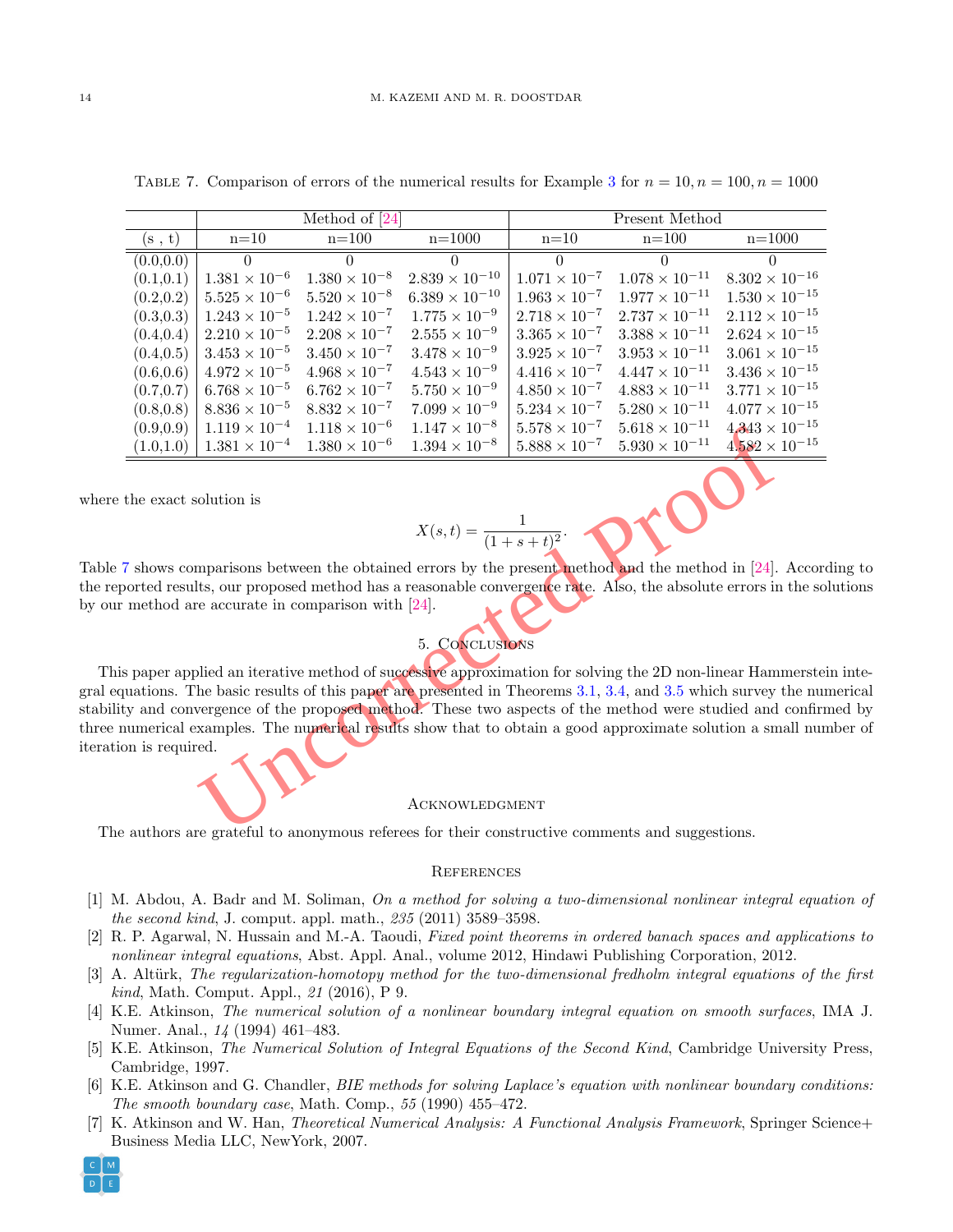|                         |                        | Method of $[24]$       |                         |                        | Present Method          |                         |
|-------------------------|------------------------|------------------------|-------------------------|------------------------|-------------------------|-------------------------|
| (s, t)                  | $n=10$                 | $n=100$                | $n = 1000$              | $n=10$                 | $n=100$                 | $n = 1000$              |
| $(0.0, 0.\overline{0)}$ | $\Omega$               |                        | 0                       | $\Omega$               | 0                       |                         |
| (0.1, 0.1)              | $1.381 \times 10^{-6}$ | $1.380 \times 10^{-8}$ | $2.839 \times 10^{-10}$ | $1.071 \times 10^{-7}$ | $1.078 \times 10^{-11}$ | $8.302 \times 10^{-16}$ |
| (0.2, 0.2)              | $5.525 \times 10^{-6}$ | $5.520 \times 10^{-8}$ | $6.389 \times 10^{-10}$ | $1.963 \times 10^{-7}$ | $1.977 \times 10^{-11}$ | $1.530 \times 10^{-15}$ |
| (0.3, 0.3)              | $1.243 \times 10^{-5}$ | $1.242 \times 10^{-7}$ | $1.775 \times 10^{-9}$  | $2.718 \times 10^{-7}$ | $2.737 \times 10^{-11}$ | $2.112 \times 10^{-15}$ |
| (0.4, 0.4)              | $2.210 \times 10^{-5}$ | $2.208 \times 10^{-7}$ | $2.555 \times 10^{-9}$  | $3.365 \times 10^{-7}$ | $3.388 \times 10^{-11}$ | $2.624 \times 10^{-15}$ |
| (0.4, 0.5)              | $3.453 \times 10^{-5}$ | $3.450 \times 10^{-7}$ | $3.478 \times 10^{-9}$  | $3.925 \times 10^{-7}$ | $3.953 \times 10^{-11}$ | $3.061 \times 10^{-15}$ |
| (0.6, 0.6)              | $4.972 \times 10^{-5}$ | $4.968 \times 10^{-7}$ | $4.543 \times 10^{-9}$  | $4.416 \times 10^{-7}$ | $4.447 \times 10^{-11}$ | $3.436 \times 10^{-15}$ |
| (0.7, 0.7)              | $6.768 \times 10^{-5}$ | $6.762 \times 10^{-7}$ | $5.750 \times 10^{-9}$  | $4.850 \times 10^{-7}$ | $4.883 \times 10^{-11}$ | $3.771 \times 10^{-15}$ |
| (0.8, 0.8)              | $8.836 \times 10^{-5}$ | $8.832 \times 10^{-7}$ | $7.099 \times 10^{-9}$  | $5.234 \times 10^{-7}$ | $5.280 \times 10^{-11}$ | $4.077 \times 10^{-15}$ |
| (0.9, 0.9)              | $1.119 \times 10^{-4}$ | $1.118 \times 10^{-6}$ | $1.147 \times 10^{-8}$  | $5.578 \times 10^{-7}$ | $5.618 \times 10^{-11}$ | $4.343 \times 10^{-15}$ |
| (1.0.1.0)               | $1.381 \times 10^{-4}$ | $1.380 \times 10^{-6}$ | $1.394 \times 10^{-8}$  | $5.888 \times 10^{-7}$ | $5.930 \times 10^{-11}$ | $4.582 \times 10^{-15}$ |

<span id="page-13-8"></span>TABLE 7. Comparison of errors of the numerical results for Example [3](#page-12-2) for  $n = 10, n = 100, n = 1000$ 

where the exact solution is

$$
X(s,t) = \frac{1}{(1+s+t)^2}.
$$

<span id="page-13-7"></span>Table [7](#page-13-8) shows comparisons between the obtained errors by the present method and the method in [24]. According to the reported results, our proposed method has a reasonable convergence rate. Also, the absolute errors in the solutions by our method are accurate in comparison with [24].

# 5. Conclusions

1.19 × 10<sup>-4</sup> 1.18 × 10<sup>-6</sup> 1.14/ × 10<sup>-6</sup> 5.5/8 × 10<sup>-1</sup> 5.618 × 10<sup>-1</sup> 4.343 × 1.1381 × 10<sup>-4</sup> 1.380 × 10<sup>-6</sup> 1.394 × 10<sup>-8</sup> 5.888 × 10<sup>-7</sup> 5.930 × 10<sup>-11</sup> 4.343 × 1.1381 × 10<sup>-4</sup> 1.380 × 10<sup>-6</sup> 1.394 × 10<sup>-8</sup> 5.888 × 1 This paper applied an iterative method of successive approximation for solving the 2D non-linear Hammerstein integral equations. The basic results of this paper are presented in Theorems 3.1, 3.4, and 3.5 which survey the numerical stability and convergence of the proposed method. These two aspects of the method were studied and confirmed by three numerical examples. The numerical results show that to obtain a good approximate solution a small number of iteration is required.

## **ACKNOWLEDGMENT**

The authors are grateful to anonymous referees for their constructive comments and suggestions.

### **REFERENCES**

- <span id="page-13-5"></span>[1] M. Abdou, A. Badr and M. Soliman, *On a method for solving a two-dimensional nonlinear integral equation of the second kind*, J. comput. appl. math., *235* (2011) 3589–3598.
- <span id="page-13-6"></span>[2] R. P. Agarwal, N. Hussain and M.-A. Taoudi, *Fixed point theorems in ordered banach spaces and applications to nonlinear integral equations*, Abst. Appl. Anal., volume 2012, Hindawi Publishing Corporation, 2012.
- <span id="page-13-1"></span>[3] A. Altürk, *The regularization-homotopy method for the two-dimensional fredholm integral equations of the first kind*, Math. Comput. Appl., *21* (2016), P 9.
- <span id="page-13-2"></span>[4] K.E. Atkinson, *The numerical solution of a nonlinear boundary integral equation on smooth surfaces*, IMA J. Numer. Anal., *14* (1994) 461–483.
- <span id="page-13-4"></span>[5] K.E. Atkinson, *The Numerical Solution of Integral Equations of the Second Kind*, Cambridge University Press, Cambridge, 1997.
- <span id="page-13-3"></span>[6] K.E. Atkinson and G. Chandler, *BIE methods for solving Laplace's equation with nonlinear boundary conditions: The smooth boundary case*, Math. Comp., *55* (1990) 455–472.
- <span id="page-13-0"></span>[7] K. Atkinson and W. Han, *Theoretical Numerical Analysis: A Functional Analysis Framework*, Springer Science+ Business Media LLC, NewYork, 2007.

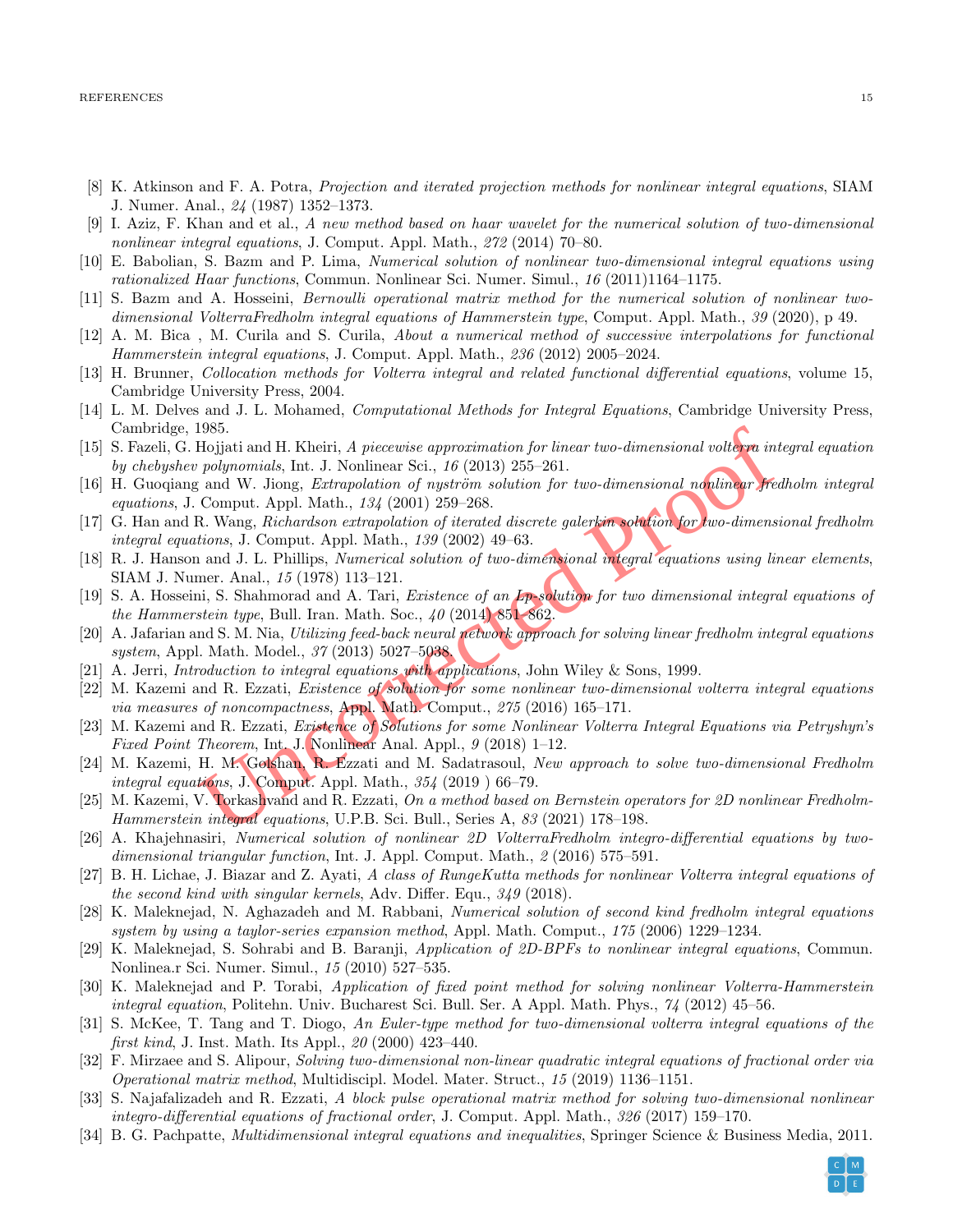- <span id="page-14-0"></span>[8] K. Atkinson and F. A. Potra, *Projection and iterated projection methods for nonlinear integral equations*, SIAM J. Numer. Anal., *24* (1987) 1352–1373.
- <span id="page-14-17"></span>[9] I. Aziz, F. Khan and et al., *A new method based on haar wavelet for the numerical solution of two-dimensional nonlinear integral equations*, J. Comput. Appl. Math., *272* (2014) 70–80.
- <span id="page-14-18"></span>[10] E. Babolian, S. Bazm and P. Lima, *Numerical solution of nonlinear two-dimensional integral equations using rationalized Haar functions*, Commun. Nonlinear Sci. Numer. Simul., *16* (2011)1164–1175.
- <span id="page-14-14"></span>[11] S. Bazm and A. Hosseini, *Bernoulli operational matrix method for the numerical solution of nonlinear twodimensional VolterraFredholm integral equations of Hammerstein type*, Comput. Appl. Math., *39* (2020), p 49.
- <span id="page-14-8"></span>[12] A. M. Bica , M. Curila and S. Curila, *About a numerical method of successive interpolations for functional Hammerstein integral equations*, J. Comput. Appl. Math., *236* (2012) 2005–2024.
- <span id="page-14-6"></span>[13] H. Brunner, *Collocation methods for Volterra integral and related functional differential equations*, volume 15, Cambridge University Press, 2004.
- <span id="page-14-23"></span>[14] L. M. Delves and J. L. Mohamed, *Computational Methods for Integral Equations*, Cambridge University Press, Cambridge, 1985.
- <span id="page-14-13"></span>[15] S. Fazeli, G. Hojjati and H. Kheiri, *A piecewise approximation for linear two-dimensional volterra integral equation by chebyshev polynomials*, Int. J. Nonlinear Sci., *16* (2013) 255–261.
- <span id="page-14-12"></span><span id="page-14-7"></span>[16] H. Guoqiang and W. Jiong, *Extrapolation of nyström solution for two-dimensional nonlinear fredholm integral equations*, J. Comput. Appl. Math., *134* (2001) 259–268.
- 1985.<br>
Hosinia and H. Kheiri, *A piecewise approximation for linear two-dimensional volters in*<br>
Hoghnomials, Int. J. Nonlinear Sci., 16 (2013) 255-261.<br>
Comput. Appl. Math., 134 (2001) 259-268.<br>
Comput. Appl. Math., 139 [17] G. Han and R. Wang, *Richardson extrapolation of iterated discrete galerkin solution for two-dimensional fredholm integral equations*, J. Comput. Appl. Math., *139* (2002) 49–63.
- <span id="page-14-1"></span>[18] R. J. Hanson and J. L. Phillips, *Numerical solution of two-dimensional integral equations using linear elements* , SIAM J. Numer. Anal., *15* (1978) 113–121.
- <span id="page-14-24"></span>[19] S. A. Hosseini, S. Shahmorad and A. Tari, *Existence of an Lp-solution for two dimensional integral equations of the Hammerstein type*, Bull. Iran. Math. Soc., *40* (2014) 851–862.
- <span id="page-14-21"></span>[20] A. Jafarian and S. M. Nia, *Utilizing feed-back neural network approach for solving linear fredholm integral equations system*, Appl. Math. Model., *37* (2013) 5027–5038.
- <span id="page-14-2"></span>[21] A. Jerri, *Introduction to integral equations with applications*, John Wiley & Sons, 1999.
- <span id="page-14-25"></span>[22] M. Kazemi and R. Ezzati, *Existence of solution for some nonlinear two-dimensional volterra integral equations via measures of noncompactness*, Appl. Math. Comput., *275* (2016) 165–171.
- <span id="page-14-26"></span>[23] M. Kazemi and R. Ezzati, *Existence of Solutions for some Nonlinear Volterra Integral Equations via Petryshyn's Fixed Point Theorem*, Int. J. Nonlinear Anal. Appl., *9* (2018) 1–12.
- <span id="page-14-9"></span>[24] M. Kazemi, H. M. Golshan, R. Ezzati and M. Sadatrasoul, *New approach to solve two-dimensional Fredholm integral equations*, J. Comput. Appl. Math., *354* (2019 ) 66–79.
- <span id="page-14-10"></span>[25] M. Kazemi, V. Torkashvand and R. Ezzati, *On a method based on Bernstein operators for 2D nonlinear Fredholm-Hammerstein integral equations*, U.P.B. Sci. Bull., Series A, *83* (2021) 178–198.
- <span id="page-14-15"></span>[26] A. Khajehnasiri, *Numerical solution of nonlinear 2D VolterraFredholm integro-differential equations by twodimensional triangular function*, Int. J. Appl. Comput. Math., *2* (2016) 575–591.
- <span id="page-14-20"></span>[27] B. H. Lichae, J. Biazar and Z. Ayati, *A class of RungeKutta methods for nonlinear Volterra integral equations of the second kind with singular kernels*, Adv. Differ. Equ., *349* (2018).
- <span id="page-14-22"></span>[28] K. Maleknejad, N. Aghazadeh and M. Rabbani, *Numerical solution of second kind fredholm integral equations system by using a taylor-series expansion method*, Appl. Math. Comput., *175* (2006) 1229–1234.
- <span id="page-14-19"></span>[29] K. Maleknejad, S. Sohrabi and B. Baranji, *Application of 2D-BPFs to nonlinear integral equations*, Commun. Nonlinea.r Sci. Numer. Simul., *15* (2010) 527–535.
- <span id="page-14-11"></span>[30] K. Maleknejad and P. Torabi, *Application of fixed point method for solving nonlinear Volterra-Hammerstein integral equation*, Politehn. Univ. Bucharest Sci. Bull. Ser. A Appl. Math. Phys., *74* (2012) 45–56.
- <span id="page-14-3"></span>[31] S. McKee, T. Tang and T. Diogo, *An Euler-type method for two-dimensional volterra integral equations of the first kind*, J. Inst. Math. Its Appl., *20* (2000) 423–440.
- <span id="page-14-4"></span>[32] F. Mirzaee and S. Alipour, *Solving two-dimensional non-linear quadratic integral equations of fractional order via Operational matrix method*, Multidiscipl. Model. Mater. Struct., *15* (2019) 1136–1151.
- <span id="page-14-16"></span>[33] S. Najafalizadeh and R. Ezzati, *A block pulse operational matrix method for solving two-dimensional nonlinear integro-differential equations of fractional order*, J. Comput. Appl. Math., *326* (2017) 159–170.
- <span id="page-14-5"></span>[34] B. G. Pachpatte, *Multidimensional integral equations and inequalities*, Springer Science & Business Media, 2011.